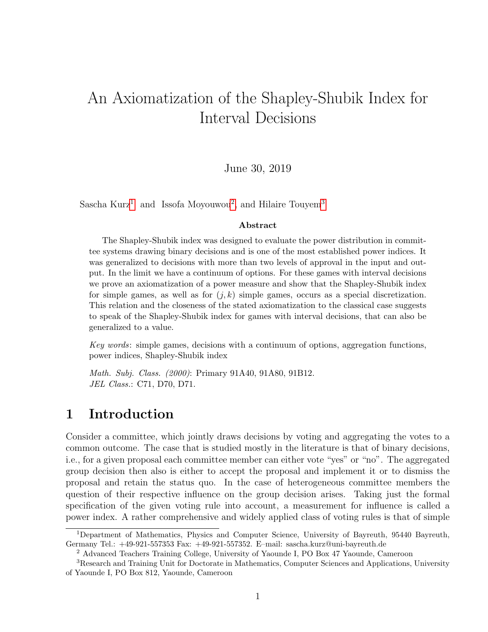# An Axiomatization of the Shapley-Shubik Index for Interval Decisions

### June 30, 2019

Sascha Kurz<sup>[1](#page-0-0)</sup> and Issofa Moyouwou<sup>[2](#page-0-1)</sup>, and Hilaire Touyem<sup>[3](#page-0-2)</sup>

#### Abstract

The Shapley-Shubik index was designed to evaluate the power distribution in committee systems drawing binary decisions and is one of the most established power indices. It was generalized to decisions with more than two levels of approval in the input and output. In the limit we have a continuum of options. For these games with interval decisions we prove an axiomatization of a power measure and show that the Shapley-Shubik index for simple games, as well as for  $(j, k)$  simple games, occurs as a special discretization. This relation and the closeness of the stated axiomatization to the classical case suggests to speak of the Shapley-Shubik index for games with interval decisions, that can also be generalized to a value.

Key words: simple games, decisions with a continuum of options, aggregation functions, power indices, Shapley-Shubik index

Math. Subj. Class. (2000): Primary 91A40, 91A80, 91B12. JEL Class.: C71, D70, D71.

# 1 Introduction

Consider a committee, which jointly draws decisions by voting and aggregating the votes to a common outcome. The case that is studied mostly in the literature is that of binary decisions, i.e., for a given proposal each committee member can either vote "yes" or "no". The aggregated group decision then also is either to accept the proposal and implement it or to dismiss the proposal and retain the status quo. In the case of heterogeneous committee members the question of their respective influence on the group decision arises. Taking just the formal specification of the given voting rule into account, a measurement for influence is called a power index. A rather comprehensive and widely applied class of voting rules is that of simple

<span id="page-0-0"></span><sup>1</sup>Department of Mathematics, Physics and Computer Science, University of Bayreuth, 95440 Bayreuth, Germany Tel.: +49-921-557353 Fax: +49-921-557352. E–mail: sascha.kurz@uni-bayreuth.de

<span id="page-0-2"></span><span id="page-0-1"></span><sup>2</sup> Advanced Teachers Training College, University of Yaounde I, PO Box 47 Yaounde, Cameroon

<sup>3</sup>Research and Training Unit for Doctorate in Mathematics, Computer Sciences and Applications, University of Yaounde I, PO Box 812, Yaounde, Cameroon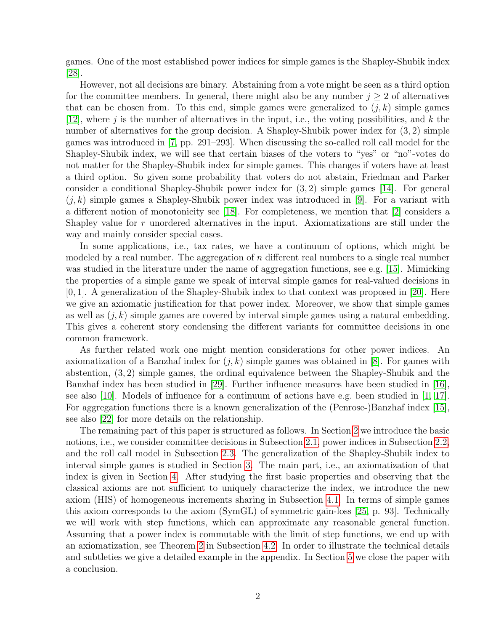games. One of the most established power indices for simple games is the Shapley-Shubik index [\[28\]](#page-24-0).

However, not all decisions are binary. Abstaining from a vote might be seen as a third option for the committee members. In general, there might also be any number  $j \geq 2$  of alternatives that can be chosen from. To this end, simple games were generalized to  $(j, k)$  simple games [\[12\]](#page-23-0), where j is the number of alternatives in the input, i.e., the voting possibilities, and  $k$  the number of alternatives for the group decision. A Shapley-Shubik power index for  $(3, 2)$  simple games was introduced in [\[7,](#page-23-1) pp. 291–293]. When discussing the so-called roll call model for the Shapley-Shubik index, we will see that certain biases of the voters to "yes" or "no"-votes do not matter for the Shapley-Shubik index for simple games. This changes if voters have at least a third option. So given some probability that voters do not abstain, Friedman and Parker consider a conditional Shapley-Shubik power index for (3, 2) simple games [\[14\]](#page-23-2). For general  $(j, k)$  simple games a Shapley-Shubik power index was introduced in [\[9\]](#page-23-3). For a variant with a different notion of monotonicity see [\[18\]](#page-23-4). For completeness, we mention that [\[2\]](#page-23-5) considers a Shapley value for r unordered alternatives in the input. Axiomatizations are still under the way and mainly consider special cases.

In some applications, i.e., tax rates, we have a continuum of options, which might be modeled by a real number. The aggregation of  $n$  different real numbers to a single real number was studied in the literature under the name of aggregation functions, see e.g. [\[15\]](#page-23-6). Mimicking the properties of a simple game we speak of interval simple games for real-valued decisions in [0, 1]. A generalization of the Shapley-Shubik index to that context was proposed in [\[20\]](#page-24-1). Here we give an axiomatic justification for that power index. Moreover, we show that simple games as well as  $(j, k)$  simple games are covered by interval simple games using a natural embedding. This gives a coherent story condensing the different variants for committee decisions in one common framework.

As further related work one might mention considerations for other power indices. An axiomatization of a Banzhaf index for  $(j, k)$  simple games was obtained in [\[8\]](#page-23-7). For games with abstention, (3, 2) simple games, the ordinal equivalence between the Shapley-Shubik and the Banzhaf index has been studied in [\[29\]](#page-24-2). Further influence measures have been studied in [\[16\]](#page-23-8), see also [\[10\]](#page-23-9). Models of influence for a continuum of actions have e.g. been studied in [\[1,](#page-22-0) [17\]](#page-23-10). For aggregation functions there is a known generalization of the (Penrose-)Banzhaf index [\[15\]](#page-23-6), see also [\[22\]](#page-24-3) for more details on the relationship.

The remaining part of this paper is structured as follows. In Section [2](#page-2-0) we introduce the basic notions, i.e., we consider committee decisions in Subsection [2.1,](#page-2-1) power indices in Subsection [2.2,](#page-3-0) and the roll call model in Subsection [2.3.](#page-4-0) The generalization of the Shapley-Shubik index to interval simple games is studied in Section [3.](#page-5-0) The main part, i.e., an axiomatization of that index is given in Section [4.](#page-9-0) After studying the first basic properties and observing that the classical axioms are not sufficient to uniquely characterize the index, we introduce the new axiom (HIS) of homogeneous increments sharing in Subsection [4.1.](#page-12-0) In terms of simple games this axiom corresponds to the axiom (SymGL) of symmetric gain-loss [\[25,](#page-24-4) p. 93]. Technically we will work with step functions, which can approximate any reasonable general function. Assuming that a power index is commutable with the limit of step functions, we end up with an axiomatization, see Theorem [2](#page-20-0) in Subsection [4.2.](#page-20-1) In order to illustrate the technical details and subtleties we give a detailed example in the appendix. In Section [5](#page-21-0) we close the paper with a conclusion.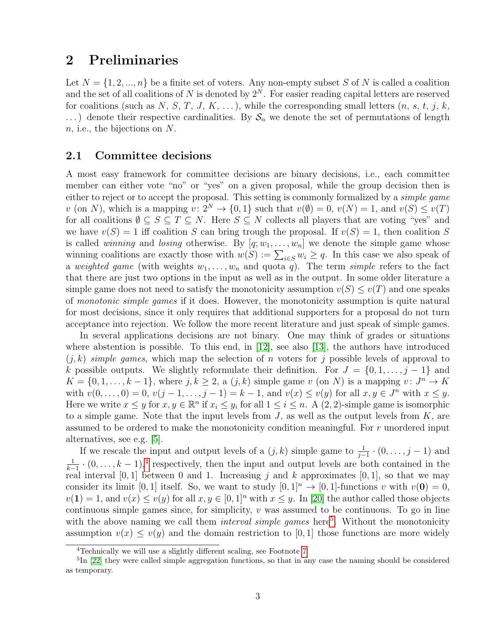# <span id="page-2-0"></span>2 Preliminaries

Let  $N = \{1, 2, ..., n\}$  be a finite set of voters. Any non-empty subset S of N is called a coalition and the set of all coalitions of N is denoted by  $2^N$ . For easier reading capital letters are reserved for coalitions (such as N, S, T, J, K, ...), while the corresponding small letters  $(n, s, t, j, k, t)$  $\ldots$ ) denote their respective cardinalities. By  $S_n$  we denote the set of permutations of length n, i.e., the bijections on N.

### <span id="page-2-1"></span>2.1 Committee decisions

A most easy framework for committee decisions are binary decisions, i.e., each committee member can either vote "no" or "yes" on a given proposal, while the group decision then is either to reject or to accept the proposal. This setting is commonly formalized by a simple game v (on N), which is a mapping  $v: 2^N \to \{0, 1\}$  such that  $v(\emptyset) = 0$ ,  $v(N) = 1$ , and  $v(S) \le v(T)$ for all coalitions  $\emptyset \subseteq S \subseteq T \subseteq N$ . Here  $S \subseteq N$  collects all players that are voting "yes" and we have  $v(S) = 1$  iff coalition S can bring trough the proposal. If  $v(S) = 1$ , then coalition S is called *winning* and *losing* otherwise. By  $[q; w_1, \ldots, w_n]$  we denote the simple game whose winning coalitions are exactly those with  $w(S) := \sum_{i \in S} w_i \ge q$ . In this case we also speak of a weighted game (with weights  $w_1, \ldots, w_n$  and quota q). The term simple refers to the fact that there are just two options in the input as well as in the output. In some older literature a simple game does not need to satisfy the monotonicity assumption  $v(S) \le v(T)$  and one speaks of monotonic simple games if it does. However, the monotonicity assumption is quite natural for most decisions, since it only requires that additional supporters for a proposal do not turn acceptance into rejection. We follow the more recent literature and just speak of simple games.

In several applications decisions are not binary. One may think of grades or situations where abstention is possible. To this end, in  $[12]$ , see also  $[13]$ , the authors have introduced  $(j, k)$  simple games, which map the selection of n voters for j possible levels of approval to k possible outputs. We slightly reformulate their definition. For  $J = \{0, 1, \ldots, j-1\}$  and  $K = \{0, 1, \ldots, k-1\}$ , where  $j, k \geq 2$ , a  $(j, k)$  simple game v (on N) is a mapping  $v: J<sup>n</sup> \to K$ with  $v(0, \ldots, 0) = 0$ ,  $v(j - 1, \ldots, j - 1) = k - 1$ , and  $v(x) \le v(y)$  for all  $x, y \in J^n$  with  $x \le y$ . Here we write  $x \leq y$  for  $x, y \in \mathbb{R}^n$  if  $x_i \leq y_i$  for all  $1 \leq i \leq n$ . A  $(2, 2)$ -simple game is isomorphic to a simple game. Note that the input levels from  $J$ , as well as the output levels from  $K$ , are assumed to be ordered to make the monotonicity condition meaningful. For r unordered input alternatives, see e.g. [\[5\]](#page-23-12).

If we rescale the input and output levels of a  $(j, k)$  simple game to  $\frac{1}{j-1} \cdot (0, \ldots, j-1)$  and 1  $\frac{1}{k-1} \cdot (0, \ldots, k-1),$ <sup>[4](#page-2-2)</sup> respectively, then the input and output levels are both contained in the real interval [0, 1] between 0 and 1. Increasing j and k approximates [0, 1], so that we may consider its limit [0, 1] itself. So, we want to study  $[0, 1]^n \rightarrow [0, 1]$ -functions v with  $v(\mathbf{0}) = 0$ ,  $v(1) = 1$ , and  $v(x) \le v(y)$  for all  $x, y \in [0, 1]^n$  with  $x \le y$ . In [\[20\]](#page-24-1) the author called those objects continuous simple games since, for simplicity,  $v$  was assumed to be continuous. To go in line with the above naming we call them *interval simple games* here<sup>[5](#page-2-3)</sup>. Without the monotonicity assumption  $v(x) \leq v(y)$  and the domain restriction to [0, 1] those functions are more widely

<span id="page-2-3"></span><span id="page-2-2"></span><sup>&</sup>lt;sup>4</sup>Technically we will use a slightly different scaling, see Footnote [7.](#page-5-1)

<sup>&</sup>lt;sup>5</sup>In [\[22\]](#page-24-3) they were called simple aggregation functions, so that in any case the naming should be considered as temporary.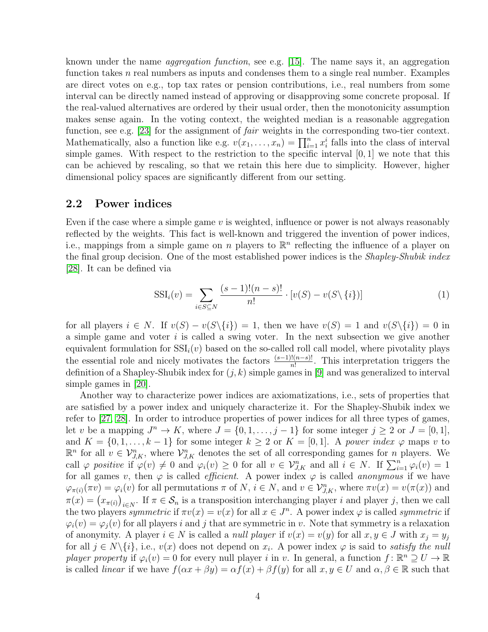known under the name aggregation function, see e.g. [\[15\]](#page-23-6). The name says it, an aggregation function takes n real numbers as inputs and condenses them to a single real number. Examples are direct votes on e.g., top tax rates or pension contributions, i.e., real numbers from some interval can be directly named instead of approving or disapproving some concrete proposal. If the real-valued alternatives are ordered by their usual order, then the monotonicity assumption makes sense again. In the voting context, the weighted median is a reasonable aggregation function, see e.g. [\[23\]](#page-24-5) for the assignment of *fair* weights in the corresponding two-tier context. Mathematically, also a function like e.g.  $v(x_1, \ldots, x_n) = \prod_{i=1}^n x_i^i$  falls into the class of interval simple games. With respect to the restriction to the specific interval [0, 1] we note that this can be achieved by rescaling, so that we retain this here due to simplicity. However, higher dimensional policy spaces are significantly different from our setting.

### <span id="page-3-0"></span>2.2 Power indices

Even if the case where a simple game  $v$  is weighted, influence or power is not always reasonably reflected by the weights. This fact is well-known and triggered the invention of power indices, i.e., mappings from a simple game on n players to  $\mathbb{R}^n$  reflecting the influence of a player on the final group decision. One of the most established power indices is the *Shapley-Shubik index* [\[28\]](#page-24-0). It can be defined via

<span id="page-3-1"></span>
$$
SSI_i(v) = \sum_{i \in S \subseteq N} \frac{(s-1)!(n-s)!}{n!} \cdot [v(S) - v(S \setminus \{i\})]
$$
(1)

for all players  $i \in N$ . If  $v(S) - v(S\setminus\{i\}) = 1$ , then we have  $v(S) = 1$  and  $v(S\setminus\{i\}) = 0$  in a simple game and voter  $i$  is called a swing voter. In the next subsection we give another equivalent formulation for  $\text{SSI}_i(v)$  based on the so-called roll call model, where pivotality plays the essential role and nicely motivates the factors  $\frac{(s-1)!(n-s)!}{n!}$ . This interpretation triggers the definition of a Shapley-Shubik index for  $(j, k)$  simple games in [\[9\]](#page-23-3) and was generalized to interval simple games in [\[20\]](#page-24-1).

Another way to characterize power indices are axiomatizations, i.e., sets of properties that are satisfied by a power index and uniquely characterize it. For the Shapley-Shubik index we refer to [\[27,](#page-24-6) [28\]](#page-24-0). In order to introduce properties of power indices for all three types of games, let v be a mapping  $J^n \to K$ , where  $J = \{0, 1, \ldots, j-1\}$  for some integer  $j \ge 2$  or  $J = [0, 1]$ , and  $K = \{0, 1, \ldots, k-1\}$  for some integer  $k \geq 2$  or  $K = [0, 1]$ . A power index  $\varphi$  maps v to  $\mathbb{R}^n$  for all  $v \in \mathcal{V}_{J,K}^n$ , where  $\mathcal{V}_{J,K}^n$  denotes the set of all corresponding games for n players. We call  $\varphi$  positive if  $\varphi(v) \neq 0$  and  $\varphi_i(v) \geq 0$  for all  $v \in \mathcal{V}_{J,K}^n$  and all  $i \in N$ . If  $\sum_{i=1}^n \varphi_i(v) = 1$ for all games v, then  $\varphi$  is called *efficient*. A power index  $\varphi$  is called *anonymous* if we have  $\varphi_{\pi(i)}(\pi v) = \varphi_i(v)$  for all permutations  $\pi$  of  $N, i \in N$ , and  $v \in \mathcal{V}_{J,K}^n$ , where  $\pi v(x) = v(\pi(x))$  and  $\pi(x) = (x_{\pi(i)})_{i \in N}$ . If  $\pi \in S_n$  is a transposition interchanging player *i* and player *j*, then we call the two players symmetric if  $\pi v(x) = v(x)$  for all  $x \in J^n$ . A power index  $\varphi$  is called symmetric if  $\varphi_i(v) = \varphi_i(v)$  for all players i and j that are symmetric in v. Note that symmetry is a relaxation of anonymity. A player  $i \in N$  is called a *null player* if  $v(x) = v(y)$  for all  $x, y \in J$  with  $x_j = y_j$ for all  $j \in N \setminus \{i\}$ , i.e.,  $v(x)$  does not depend on  $x_i$ . A power index  $\varphi$  is said to *satisfy the null* player property if  $\varphi_i(v) = 0$  for every null player i in v. In general, a function  $f: \mathbb{R}^n \supseteq U \to \mathbb{R}$ is called *linear* if we have  $f(\alpha x + \beta y) = \alpha f(x) + \beta f(y)$  for all  $x, y \in U$  and  $\alpha, \beta \in \mathbb{R}$  such that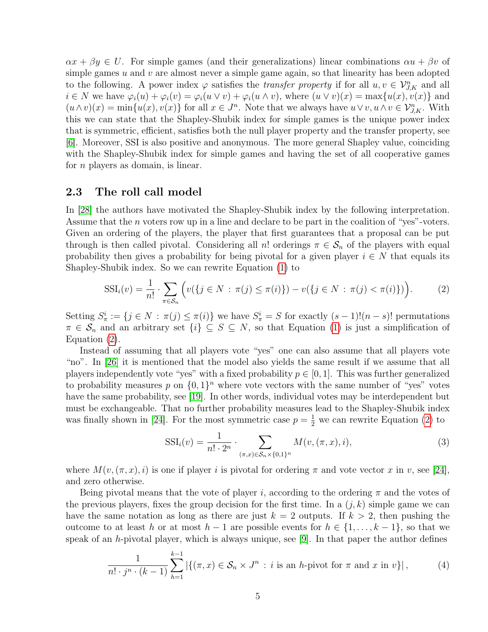$\alpha x + \beta y \in U$ . For simple games (and their generalizations) linear combinations  $\alpha u + \beta v$  of simple games  $u$  and  $v$  are almost never a simple game again, so that linearity has been adopted to the following. A power index  $\varphi$  satisfies the *transfer property* if for all  $u, v \in V_{J,K}^n$  and all  $i \in N$  we have  $\varphi_i(u) + \varphi_i(v) = \varphi_i(u \vee v) + \varphi_i(u \wedge v)$ , where  $(u \vee v)(x) = \max\{u(x), v(x)\}\$  and  $(u \wedge v)(x) = \min\{u(x), v(x)\}\$ for all  $x \in J^n$ . Note that we always have  $u \vee v, u \wedge v \in \mathcal{V}_{J,K}^n$ . With this we can state that the Shapley-Shubik index for simple games is the unique power index that is symmetric, efficient, satisfies both the null player property and the transfer property, see [\[6\]](#page-23-13). Moreover, SSI is also positive and anonymous. The more general Shapley value, coinciding with the Shapley-Shubik index for simple games and having the set of all cooperative games for *n* players as domain, is linear.

### <span id="page-4-0"></span>2.3 The roll call model

In [\[28\]](#page-24-0) the authors have motivated the Shapley-Shubik index by the following interpretation. Assume that the n voters row up in a line and declare to be part in the coalition of "yes"-voters. Given an ordering of the players, the player that first guarantees that a proposal can be put through is then called pivotal. Considering all n! orderings  $\pi \in S_n$  of the players with equal probability then gives a probability for being pivotal for a given player  $i \in N$  that equals its Shapley-Shubik index. So we can rewrite Equation [\(1\)](#page-3-1) to

<span id="page-4-1"></span>
$$
SSI_i(v) = \frac{1}{n!} \cdot \sum_{\pi \in S_n} \Big( v(\{ j \in N : \pi(j) \le \pi(i) \}) - v(\{ j \in N : \pi(j) < \pi(i) \}) \Big). \tag{2}
$$

Setting  $S^i_{\pi} := \{j \in N : \pi(j) \leq \pi(i)\}\$  we have  $S^i_{\pi} = S$  for exactly  $(s-1)!(n-s)!$  permutations  $\pi \in \mathcal{S}_n$  and an arbitrary set  $\{i\} \subseteq S \subseteq N$ , so that Equation [\(1\)](#page-3-1) is just a simplification of Equation [\(2\)](#page-4-1).

Instead of assuming that all players vote "yes" one can also assume that all players vote "no". In [\[26\]](#page-24-7) it is mentioned that the model also yields the same result if we assume that all players independently vote "yes" with a fixed probability  $p \in [0, 1]$ . This was further generalized to probability measures p on  $\{0,1\}^n$  where vote vectors with the same number of "yes" votes have the same probability, see [\[19\]](#page-24-8). In other words, individual votes may be interdependent but must be exchangeable. That no further probability measures lead to the Shapley-Shubik index was finally shown in [\[24\]](#page-24-9). For the most symmetric case  $p = \frac{1}{2}$  we can rewrite Equation [\(2\)](#page-4-1) to

$$
SSI_i(v) = \frac{1}{n! \cdot 2^n} \cdot \sum_{(\pi, x) \in S_n \times \{0, 1\}^n} M(v, (\pi, x), i),
$$
 (3)

where  $M(v,(\pi, x), i)$  is one if player i is pivotal for ordering  $\pi$  and vote vector x in v, see [\[24\]](#page-24-9), and zero otherwise.

Being pivotal means that the vote of player i, according to the ordering  $\pi$  and the votes of the previous players, fixes the group decision for the first time. In a  $(j, k)$  simple game we can have the same notation as long as there are just  $k = 2$  outputs. If  $k > 2$ , then pushing the outcome to at least h or at most  $h-1$  are possible events for  $h \in \{1, \ldots, k-1\}$ , so that we speak of an h-pivotal player, which is always unique, see [\[9\]](#page-23-3). In that paper the author defines

<span id="page-4-2"></span>
$$
\frac{1}{n! \cdot j^n \cdot (k-1)} \sum_{h=1}^{k-1} |\{ (\pi, x) \in \mathcal{S}_n \times J^n : i \text{ is an } h\text{-pivot for } \pi \text{ and } x \text{ in } v \}|,
$$
 (4)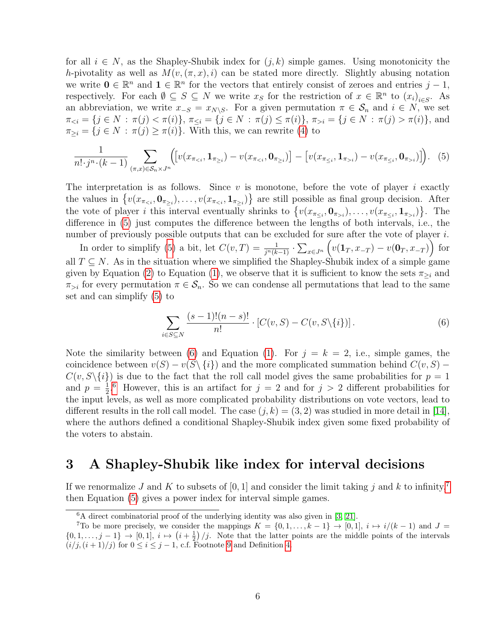for all  $i \in N$ , as the Shapley-Shubik index for  $(j, k)$  simple games. Using monotonicity the h-pivotality as well as  $M(v, (\pi, x), i)$  can be stated more directly. Slightly abusing notation we write  $\mathbf{0} \in \mathbb{R}^n$  and  $\mathbf{1} \in \mathbb{R}^n$  for the vectors that entirely consist of zeroes and entries  $j-1$ , respectively. For each  $\emptyset \subseteq S \subseteq N$  we write  $x_S$  for the restriction of  $x \in \mathbb{R}^n$  to  $(x_i)_{i \in S}$ . As an abbreviation, we write  $x_{-S} = x_{N\setminus S}$ . For a given permutation  $\pi \in S_n$  and  $i \in N$ , we set  $\pi_{\leq i} = \{j \in N : \pi(j) < \pi(i)\},\ \pi_{\leq i} = \{j \in N : \pi(j) \leq \pi(i)\},\ \pi_{>i} = \{j \in N : \pi(j) > \pi(i)\},\$ and  $\pi_{\geq i} = \{j \in N : \pi(j) \geq \pi(i)\}\.$  With this, we can rewrite [\(4\)](#page-4-2) to

<span id="page-5-2"></span>
$$
\frac{1}{n! \cdot j^n \cdot (k-1)} \sum_{(\pi, x) \in S_n \times J^n} \Big( \Big[ v(x_{\pi_{i}}) - v(x_{\pi_{\leq i}}, \mathbf{0}_{\pi_{>i}}) \Big] \Big). \tag{5}
$$

The interpretation is as follows. Since  $v$  is monotone, before the vote of player  $i$  exactly the values in  $\{v(x_{\pi_{\leq i}}, 0_{\pi_{\geq i}}), \ldots, v(x_{\pi_{\leq i}}, 1_{\pi_{\geq i}})\}$  are still possible as final group decision. After the vote of player *i* this interval eventually shrinks to  $\{v(x_{\pi_{\leq i}}, 0_{\pi_{>i}}), \ldots, v(x_{\pi_{\leq i}}, 1_{\pi_{>i}})\}\.$  The difference in [\(5\)](#page-5-2) just computes the difference between the lengths of both intervals, i.e., the number of previously possible outputs that can be excluded for sure after the vote of player i.

In order to simplify [\(5\)](#page-5-2) a bit, let  $C(v,T) = \frac{1}{j^n(k-1)} \cdot \sum_{x \in J^n} \left( v(1_T, x_{-T}) - v(0_T, x_{-T}) \right)$  for all  $T \subseteq N$ . As in the situation where we simplified the Shapley-Shubik index of a simple game given by Equation [\(2\)](#page-4-1) to Equation [\(1\)](#page-3-1), we observe that it is sufficient to know the sets  $\pi_{\geq i}$  and  $\pi_{>i}$  for every permutation  $\pi \in S_n$ . So we can condense all permutations that lead to the same set and can simplify [\(5\)](#page-5-2) to

<span id="page-5-3"></span>
$$
\sum_{i \in S \subseteq N} \frac{(s-1)!(n-s)!}{n!} \cdot [C(v, S) - C(v, S \setminus \{i\})]. \tag{6}
$$

Note the similarity between [\(6\)](#page-5-3) and Equation [\(1\)](#page-3-1). For  $j = k = 2$ , i.e., simple games, the coincidence between  $v(S) - v(S \setminus \{i\})$  and the more complicated summation behind  $C(v, S)$  –  $C(v, S\setminus\{i\})$  is due to the fact that the roll call model gives the same probabilities for  $p = 1$ and  $p=\frac{1}{2}$  $\frac{1}{2}$ <sup>[6](#page-5-4)</sup> However, this is an artifact for  $j = 2$  and for  $j > 2$  different probabilities for the input levels, as well as more complicated probability distributions on vote vectors, lead to different results in the roll call model. The case  $(j, k) = (3, 2)$  was studied in more detail in [\[14\]](#page-23-2), where the authors defined a conditional Shapley-Shubik index given some fixed probability of the voters to abstain.

# <span id="page-5-0"></span>3 A Shapley-Shubik like index for interval decisions

If we renormalize J and K to subsets of [0, 1] and consider the limit taking j and k to infinity,<sup>[7](#page-5-1)</sup> then Equation [\(5\)](#page-5-2) gives a power index for interval simple games.

<span id="page-5-4"></span><span id="page-5-1"></span> $6A$  direct combinatorial proof of the underlying identity was also given in [\[3,](#page-23-14) [21\]](#page-24-10).

<sup>&</sup>lt;sup>7</sup>To be more precisely, we consider the mappings  $K = \{0, 1, \ldots, k-1\} \rightarrow [0, 1], i \mapsto i/(k-1)$  and  $J =$  $\{0, 1, \ldots, j-1\} \to [0, 1], i \mapsto (i + \frac{1}{2})/j.$  Note that the latter points are the middle points of the intervals  $(i/j, (i+1)/j)$  for  $0 \le i \le j-1$ , c.f. Footnote [9](#page-10-0) and Definition [4.](#page-10-1)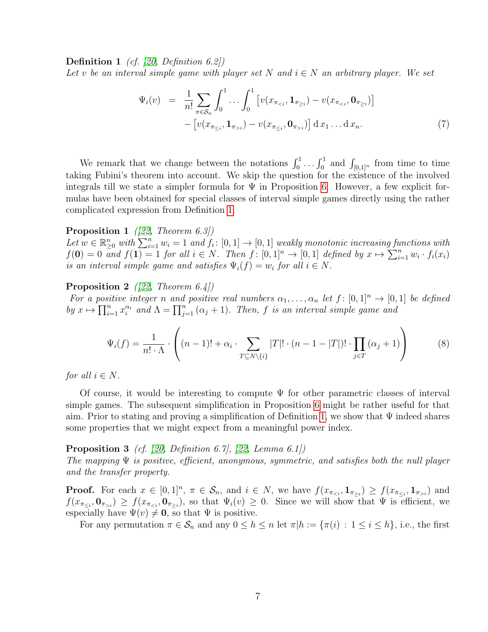**Definition 1** (cf. [\[20,](#page-24-1) Definition 6.2])

Let v be an interval simple game with player set N and  $i \in N$  an arbitrary player. We set

<span id="page-6-0"></span>
$$
\Psi_i(v) = \frac{1}{n!} \sum_{\pi \in S_n} \int_0^1 \dots \int_0^1 \left[ v(x_{\pi_{i}}) - v(x_{\pi_{\le i}}, \mathbf{0}_{\pi_{>i}}) \right] dx_1 \dots dx_n.
$$
\n(7)

We remark that we change between the notations  $\int_0^1 \dots \int_0^1$  and  $\int_{[0,1]^n}$  from time to time taking Fubini's theorem into account. We skip the question for the existence of the involved integrals till we state a simpler formula for  $\Psi$  in Proposition [6.](#page-8-0) However, a few explicit formulas have been obtained for special classes of interval simple games directly using the rather complicated expression from Definition [1.](#page-6-0)

### **Proposition 1** ([\[22,](#page-24-3) Theorem 6.3])

Let  $w \in \mathbb{R}_{\geq 0}^n$  with  $\sum_{i=1}^n w_i = 1$  and  $f_i: [0,1] \to [0,1]$  weakly monotonic increasing functions with  $f(\mathbf{0}) = 0$  and  $f(\mathbf{1}) = 1$  for all  $i \in N$ . Then  $f: [0,1]^n \to [0,1]$  defined by  $x \mapsto \sum_{i=1}^n w_i \cdot f_i(x_i)$ is an interval simple game and satisfies  $\Psi_i(f) = w_i$  for all  $i \in N$ .

#### <span id="page-6-2"></span>**Proposition 2** ([\[22,](#page-24-3) Theorem 6.4])

For a positive integer n and positive real numbers  $\alpha_1, \ldots, \alpha_n$  let  $f : [0,1]^n \to [0,1]$  be defined by  $x \mapsto \prod_{i=1}^n x_i^{\alpha_i}$  and  $\Lambda = \prod_{j=1}^n (\alpha_j + 1)$ . Then, f is an interval simple game and

$$
\Psi_i(f) = \frac{1}{n! \cdot \Lambda} \cdot \left( (n-1)! + \alpha_i \cdot \sum_{T \subseteq N \setminus \{i\}} |T|! \cdot (n-1-|T|)! \cdot \prod_{j \in T} (\alpha_j + 1) \right) \tag{8}
$$

for all  $i \in N$ .

Of course, it would be interesting to compute  $\Psi$  for other parametric classes of interval simple games. The subsequent simplification in Proposition [6](#page-8-0) might be rather useful for that aim. Prior to stating and proving a simplification of Definition [1,](#page-6-0) we show that  $\Psi$  indeed shares some properties that we might expect from a meaningful power index.

### <span id="page-6-1"></span>**Proposition 3** (cf. [\[20,](#page-24-1) Definition 6.7], [\[22,](#page-24-3) Lemma 6.1])

The mapping  $\Psi$  is positive, efficient, anonymous, symmetric, and satisfies both the null player and the transfer property.

**Proof.** For each  $x \in [0,1]^n$ ,  $\pi \in \mathcal{S}_n$ , and  $i \in N$ , we have  $f(x_{\pi_{\leq i}}, \mathbf{1}_{\pi_{\geq i}}) \geq f(x_{\pi_{\leq i}}, \mathbf{1}_{\pi_{>i}})$  and  $f(x_{\pi_{\leq i}},\mathbf{0}_{\pi_{>i}}) \geq f(x_{\pi_{, so that  $\Psi_i(v) \geq 0$ . Since we will show that  $\Psi$  is efficient, we$ especially have  $\Psi(v) \neq \mathbf{0}$ , so that  $\Psi$  is positive.

For any permutation  $\pi \in \mathcal{S}_n$  and any  $0 \leq h \leq n$  let  $\pi | h := \{ \pi(i) : 1 \leq i \leq h \}$ , i.e., the first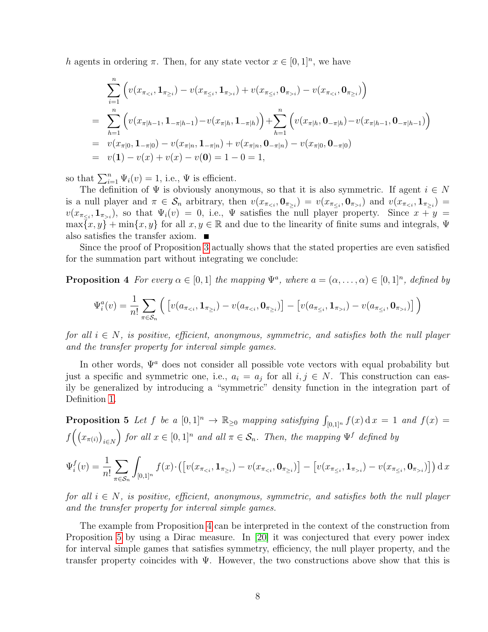h agents in ordering  $\pi$ . Then, for any state vector  $x \in [0,1]^n$ , we have

$$
\sum_{i=1}^{n} \left( v(x_{\pi_{i}}) + v(x_{\pi_{\leq i}}, \mathbf{0}_{\pi_{>i}}) - v(x_{\pi_{\n
$$
= \sum_{h=1}^{n} \left( v(x_{\pi|h-1}, \mathbf{1}_{-\pi|h-1}) - v(x_{\pi|h}, \mathbf{1}_{-\pi|h}) \right) + \sum_{h=1}^{n} \left( v(x_{\pi|h}, \mathbf{0}_{-\pi|h}) - v(x_{\pi|h-1}, \mathbf{0}_{-\pi|h-1}) \right)
$$
\n
$$
= v(x_{\pi|0}, \mathbf{1}_{-\pi|0}) - v(x_{\pi|n}, \mathbf{1}_{-\pi|n}) + v(x_{\pi|n}, \mathbf{0}_{-\pi|n}) - v(x_{\pi|0}, \mathbf{0}_{-\pi|0})
$$
\n
$$
= v(1) - v(x) + v(x) - v(0) = 1 - 0 = 1,
$$
$$

so that  $\sum_{i=1}^{n} \Psi_i(v) = 1$ , i.e.,  $\Psi$  is efficient.

The definition of  $\Psi$  is obviously anonymous, so that it is also symmetric. If agent  $i \in N$ is a null player and  $\pi \in \mathcal{S}_n$  arbitrary, then  $v(x_{\pi_{\leq i}}, \mathbf{0}_{\pi_{\geq i}}) = v(x_{\pi_{\leq i}}, \mathbf{0}_{\pi_{>i}})$  and  $v(x_{\pi_{\leq i}}, \mathbf{1}_{\pi_{\geq i}}) =$  $v(x_{\pi_{\leq i}}, \mathbf{1}_{\pi_{>i}})$ , so that  $\Psi_i(v) = 0$ , i.e.,  $\Psi$  satisfies the null player property. Since  $x + y =$  $\max\{x, y\} + \min\{x, y\}$  for all  $x, y \in \mathbb{R}$  and due to the linearity of finite sums and integrals,  $\Psi$ also satisfies the transfer axiom.  $\blacksquare$ 

Since the proof of Proposition [3](#page-6-1) actually shows that the stated properties are even satisfied for the summation part without integrating we conclude:

**Proposition 4** For every  $\alpha \in [0,1]$  the mapping  $\Psi^a$ , where  $a = (\alpha, \dots, \alpha) \in [0,1]^n$ , defined by

<span id="page-7-0"></span>
$$
\Psi_i^a(v) = \frac{1}{n!} \sum_{\pi \in S_n} \left( \left[ v(a_{\pi_{i}}) - v(a_{\pi_{\leq i}}, \mathbf{0}_{\pi_{>i}}) \right] \right)
$$

for all  $i \in N$ , is positive, efficient, anonymous, symmetric, and satisfies both the null player and the transfer property for interval simple games.

In other words,  $\Psi^a$  does not consider all possible vote vectors with equal probability but just a specific and symmetric one, i.e.,  $a_i = a_j$  for all  $i, j \in N$ . This construction can easily be generalized by introducing a "symmetric" density function in the integration part of Definition [1.](#page-6-0)

<span id="page-7-1"></span>**Proposition 5** Let f be a  $[0,1]^n \to \mathbb{R}_{\geq 0}$  mapping satisfying  $\int_{[0,1]^n} f(x) dx = 1$  and  $f(x) =$  $f\Bigl( (x_{\pi(i)})_{i\in N}$ for all  $x \in [0,1]^n$  and all  $\pi \in \mathcal{S}_n$ . Then, the mapping  $\Psi^f$  defined by

$$
\Psi_i^f(v) = \frac{1}{n!} \sum_{\pi \in S_n} \int_{[0,1]^n} f(x) \cdot \left( \left[ v(x_{\pi_{i}}) - v(x_{\pi_{\leq i}}, \mathbf{0}_{\pi_{>i}}) \right] \right) dx
$$

for all  $i \in N$ , is positive, efficient, anonymous, symmetric, and satisfies both the null player and the transfer property for interval simple games.

The example from Proposition [4](#page-7-0) can be interpreted in the context of the construction from Proposition [5](#page-7-1) by using a Dirac measure. In [\[20\]](#page-24-1) it was conjectured that every power index for interval simple games that satisfies symmetry, efficiency, the null player property, and the transfer property coincides with  $\Psi$ . However, the two constructions above show that this is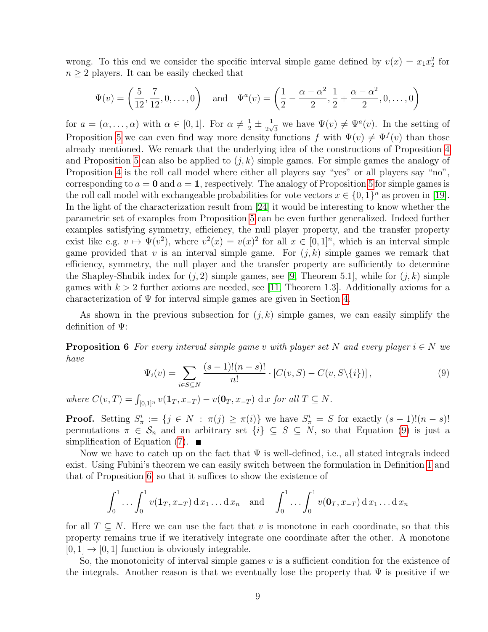wrong. To this end we consider the specific interval simple game defined by  $v(x) = x_1 x_2^2$  for  $n \geq 2$  players. It can be easily checked that

$$
\Psi(v) = \left(\frac{5}{12}, \frac{7}{12}, 0, \dots, 0\right) \text{ and } \Psi^a(v) = \left(\frac{1}{2} - \frac{\alpha - \alpha^2}{2}, \frac{1}{2} + \frac{\alpha - \alpha^2}{2}, 0, \dots, 0\right)
$$

for  $a = (\alpha, \dots, \alpha)$  with  $\alpha \in [0, 1]$ . For  $\alpha \neq \frac{1}{2} \pm \frac{1}{2\sqrt{3}}$  $\frac{1}{2\sqrt{3}}$  we have  $\Psi(v) \neq \Psi^a(v)$ . In the setting of Proposition [5](#page-7-1) we can even find way more density functions f with  $\Psi(v) \neq \Psi^f(v)$  than those already mentioned. We remark that the underlying idea of the constructions of Proposition [4](#page-7-0) and Proposition [5](#page-7-1) can also be applied to  $(j, k)$  simple games. For simple games the analogy of Proposition [4](#page-7-0) is the roll call model where either all players say "yes" or all players say "no". corresponding to  $a = 0$  and  $a = 1$ , respectively. The analogy of Proposition [5](#page-7-1) for simple games is the roll call model with exchangeable probabilities for vote vectors  $x \in \{0,1\}^n$  as proven in [\[19\]](#page-24-8). In the light of the characterization result from [\[24\]](#page-24-9) it would be interesting to know whether the parametric set of examples from Proposition [5](#page-7-1) can be even further generalized. Indeed further examples satisfying symmetry, efficiency, the null player property, and the transfer property exist like e.g.  $v \mapsto \Psi(v^2)$ , where  $v^2(x) = v(x)^2$  for all  $x \in [0, 1]^n$ , which is an interval simple game provided that v is an interval simple game. For  $(j, k)$  simple games we remark that efficiency, symmetry, the null player and the transfer property are sufficiently to determine the Shapley-Shubik index for  $(j, 2)$  simple games, see [\[9,](#page-23-3) Theorem 5.1], while for  $(j, k)$  simple games with  $k > 2$  further axioms are needed, see [\[11,](#page-23-15) Theorem 1.3]. Additionally axioms for a characterization of  $\Psi$  for interval simple games are given in Section [4.](#page-9-0)

As shown in the previous subsection for  $(j, k)$  simple games, we can easily simplify the definition of Ψ:

**Proposition 6** For every interval simple game v with player set N and every player  $i \in N$  we have

<span id="page-8-1"></span><span id="page-8-0"></span>
$$
\Psi_i(v) = \sum_{i \in S \subseteq N} \frac{(s-1)!(n-s)!}{n!} \cdot [C(v, S) - C(v, S \setminus \{i\})],
$$
\n(9)

where  $C(v,T) = \int_{[0,1]^n} v(\mathbf{1}_T, x_{-T}) - v(\mathbf{0}_T, x_{-T}) \, dx$  for all  $T \subseteq N$ .

**Proof.** Setting  $S^i_\pi := \{j \in N : \pi(j) \geq \pi(i)\}\$  we have  $S^i_\pi = S$  for exactly  $(s-1)!(n-s)!$ permutations  $\pi \in \mathcal{S}_n$  and an arbitrary set  $\{i\} \subseteq S \subseteq N$ , so that Equation [\(9\)](#page-8-1) is just a simplification of Equation  $(7)$ .

Now we have to catch up on the fact that  $\Psi$  is well-defined, i.e., all stated integrals indeed exist. Using Fubini's theorem we can easily switch between the formulation in Definition [1](#page-6-0) and that of Proposition [6,](#page-8-0) so that it suffices to show the existence of

$$
\int_0^1 \dots \int_0^1 v(\mathbf{1}_T, x_{-T}) \, \mathrm{d} x_1 \dots \mathrm{d} x_n \quad \text{and} \quad \int_0^1 \dots \int_0^1 v(\mathbf{0}_T, x_{-T}) \, \mathrm{d} x_1 \dots \mathrm{d} x_n
$$

for all  $T \subseteq N$ . Here we can use the fact that v is monotone in each coordinate, so that this property remains true if we iteratively integrate one coordinate after the other. A monotone  $[0, 1] \rightarrow [0, 1]$  function is obviously integrable.

So, the monotonicity of interval simple games  $v$  is a sufficient condition for the existence of the integrals. Another reason is that we eventually lose the property that  $\Psi$  is positive if we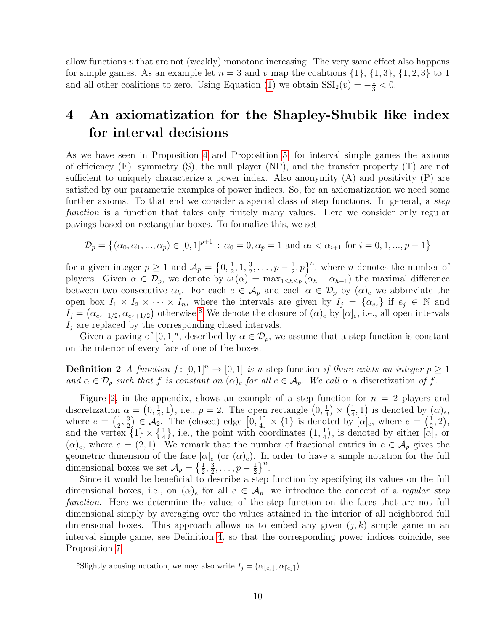allow functions  $v$  that are not (weakly) monotone increasing. The very same effect also happens for simple games. As an example let  $n = 3$  and v map the coalitions  $\{1\}$ ,  $\{1,3\}$ ,  $\{1,2,3\}$  to 1 and all other coalitions to zero. Using Equation [\(1\)](#page-3-1) we obtain  $SSI_2(v) = -\frac{1}{3} < 0$ .

# <span id="page-9-0"></span>4 An axiomatization for the Shapley-Shubik like index for interval decisions

As we have seen in Proposition [4](#page-7-0) and Proposition [5,](#page-7-1) for interval simple games the axioms of efficiency (E), symmetry (S), the null player (NP), and the transfer property (T) are not sufficient to uniquely characterize a power index. Also anonymity  $(A)$  and positivity  $(P)$  are satisfied by our parametric examples of power indices. So, for an axiomatization we need some further axioms. To that end we consider a special class of step functions. In general, a *step* function is a function that takes only finitely many values. Here we consider only regular pavings based on rectangular boxes. To formalize this, we set

$$
\mathcal{D}_p = \left\{ (\alpha_0, \alpha_1, ..., \alpha_p) \in [0, 1]^{p+1} \, : \, \alpha_0 = 0, \alpha_p = 1 \text{ and } \alpha_i < \alpha_{i+1} \text{ for } i = 0, 1, ..., p-1 \right\}
$$

for a given integer  $p \geq 1$  and  $\mathcal{A}_p = \{0, \frac{1}{2} \}$  $\frac{1}{2}$ , 1,  $\frac{3}{2}$  $\frac{3}{2}, \ldots, p-\frac{1}{2}$  $(\frac{1}{2}, p)^n$ , where *n* denotes the number of players. Given  $\alpha \in \mathcal{D}_p$ , we denote by  $\omega(\alpha) = \max_{1 \leq h \leq p} (\alpha_h - \alpha_{h-1})$  the maximal difference between two consecutive  $\alpha_h$ . For each  $e \in A_p$  and each  $\alpha \in \mathcal{D}_p$  by  $(\alpha)_e$  we abbreviate the open box  $I_1 \times I_2 \times \cdots \times I_n$ , where the intervals are given by  $I_j = \{\alpha_{e_j}\}\$ if  $e_j \in \mathbb{N}$  and  $I_j = (\alpha_{e_j-1/2}, \alpha_{e_j+1/2})$  otherwise.<sup>[8](#page-9-1)</sup> We denote the closure of  $(\alpha)_e$  by  $[\alpha]_e$ , i.e., all open intervals  $I_i$  are replaced by the corresponding closed intervals.

Given a paving of  $[0,1]^n$ , described by  $\alpha \in \mathcal{D}_p$ , we assume that a step function is constant on the interior of every face of one of the boxes.

**Definition 2** A function  $f : [0,1]^n \to [0,1]$  is a step function if there exists an integer  $p \ge 1$ and  $\alpha \in \mathcal{D}_p$  such that f is constant on  $(\alpha)_e$  for all  $e \in \mathcal{A}_p$ . We call  $\alpha$  a discretization of f.

Figure [2,](#page-26-0) in the appendix, shows an example of a step function for  $n = 2$  players and discretization  $\alpha = \left(0, \frac{1}{4}\right)$  $(\frac{1}{4}, 1)$ , i.e.,  $p = 2$ . The open rectangle  $(0, \frac{1}{4})$  $\frac{1}{4}) \times (\frac{1}{4})$  $(\frac{1}{4}, 1)$  is denoted by  $(\alpha)_e$ , where  $e = \left(\frac{1}{2}\right)$  $\frac{1}{2}, \frac{3}{2}$  $(\frac{3}{2}) \in \mathcal{A}_2$ . The (closed) edge  $[0, \frac{1}{4})$  $\left[\frac{1}{4}\right] \times \{1\}$  is denoted by  $[\alpha]_e$ , where  $e = \left(\frac{1}{2}\right)$  $(\frac{1}{2}, 2),$ and the vertex  $\{1\} \times \{\frac{1}{4}\}\$ , i.e., the point with coordinates  $\left(1, \frac{1}{4}\right)$  $(\frac{1}{4})$ , is denoted by either  $[\alpha]_e$  or  $(\alpha)_e$ , where  $e = (2, 1)$ . We remark that the number of fractional entries in  $e \in A_p$  gives the geometric dimension of the face  $[\alpha]_e$  (or  $(\alpha)_e$ ). In order to have a simple notation for the full dimensional boxes we set  $\overline{\mathcal{A}}_p = \left\{\frac{1}{2}, \frac{3}{2}\right\}$  $\frac{3}{2}, \ldots, p-\frac{1}{2}$  $\frac{1}{2}$ }<sup>n</sup>.

Since it would be beneficial to describe a step function by specifying its values on the full dimensional boxes, i.e., on  $(\alpha)_e$  for all  $e \in A_p$ , we introduce the concept of a *regular step* function. Here we determine the values of the step function on the faces that are not full dimensional simply by averaging over the values attained in the interior of all neighbored full dimensional boxes. This approach allows us to embed any given  $(j, k)$  simple game in an interval simple game, see Definition [4,](#page-10-1) so that the corresponding power indices coincide, see Proposition [7.](#page-10-2)

<span id="page-9-2"></span><span id="page-9-1"></span><sup>&</sup>lt;sup>8</sup>Slightly abusing notation, we may also write  $I_j = (\alpha_{\lfloor e_j \rfloor}, \alpha_{\lceil e_j \rceil}).$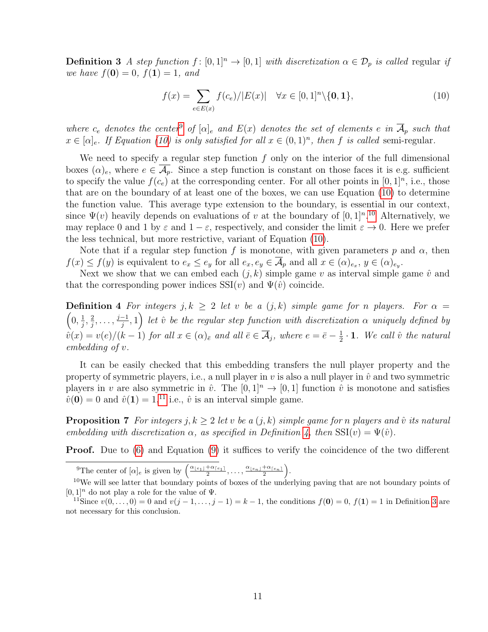**Definition 3** A step function  $f : [0,1]^n \to [0,1]$  with discretization  $\alpha \in \mathcal{D}_p$  is called regular if we have  $f(\mathbf{0}) = 0$ ,  $f(\mathbf{1}) = 1$ , and

<span id="page-10-3"></span>
$$
f(x) = \sum_{e \in E(x)} f(c_e) / |E(x)| \quad \forall x \in [0, 1]^n \setminus \{0, 1\},\tag{10}
$$

where  $c_e$  denotes the center<sup>[9](#page-10-0)</sup> of  $[\alpha]_e$  and  $E(x)$  denotes the set of elements e in  $\overline{\mathcal{A}}_p$  such that  $x \in [\alpha]_e$ . If Equation [\(10\)](#page-10-3) is only satisfied for all  $x \in (0,1)^n$ , then f is called semi-regular.

We need to specify a regular step function  $f$  only on the interior of the full dimensional boxes  $(\alpha)_e$ , where  $e \in \overline{\mathcal{A}_p}$ . Since a step function is constant on those faces it is e.g. sufficient to specify the value  $f(c_e)$  at the corresponding center. For all other points in  $[0,1]^n$ , i.e., those that are on the boundary of at least one of the boxes, we can use Equation [\(10\)](#page-10-3) to determine the function value. This average type extension to the boundary, is essential in our context, since  $\Psi(v)$  heavily depends on evaluations of v at the boundary of  $[0,1]^{n}$ .<sup>[10](#page-10-4)</sup> Alternatively, we may replace 0 and 1 by  $\varepsilon$  and  $1 - \varepsilon$ , respectively, and consider the limit  $\varepsilon \to 0$ . Here we prefer the less technical, but more restrictive, variant of Equation [\(10\)](#page-10-3).

Note that if a regular step function f is monotone, with given parameters p and  $\alpha$ , then  $f(x) \le f(y)$  is equivalent to  $e_x \le e_y$  for all  $e_x, e_y \in \mathcal{A}_p$  and all  $x \in (\alpha)_{e_x}, y \in (\alpha)_{e_y}$ .

Next we show that we can embed each  $(j, k)$  simple game v as interval simple game  $\hat{v}$  and that the corresponding power indices  $\text{SSI}(v)$  and  $\Psi(\hat{v})$  coincide.

<span id="page-10-1"></span>**Definition 4** For integers  $j, k \geq 2$  let v be a  $(j, k)$  simple game for n players. For  $\alpha =$  $\left(0,\frac{1}{i}\right)$  $\frac{1}{j},\frac{2}{j}$  $\frac{j}{j}, \ldots, \frac{j-1}{j}$  $\left( \frac{-1}{j},1\right)$  let  $\hat{v}$  be the regular step function with discretization  $\alpha$  uniquely defined by  $\hat{v}(x) = v(e)/(k-1)$  for all  $x \in (\alpha)_{\bar{e}}$  and all  $\bar{e} \in \overline{\mathcal{A}}_j$ , where  $e = \bar{e} - \frac{1}{2}$  $\frac{1}{2} \cdot \mathbf{1}$ . We call  $\hat{v}$  the natural embedding of v.

It can be easily checked that this embedding transfers the null player property and the property of symmetric players, i.e., a null player in v is also a null player in  $\hat{v}$  and two symmetric players in v are also symmetric in  $\hat{v}$ . The  $[0, 1]$ <sup>n</sup>  $\rightarrow$   $[0, 1]$  function  $\hat{v}$  is monotone and satisfies  $\hat{v}(\mathbf{0}) = 0$  and  $\hat{v}(\mathbf{1}) = 1$ , <sup>[11](#page-10-5)</sup> i.e.,  $\hat{v}$  is an interval simple game.

<span id="page-10-2"></span>**Proposition 7** For integers j,  $k \geq 2$  let v be a  $(j, k)$  simple game for n players and  $\hat{v}$  its natural embedding with discretization  $\alpha$ , as specified in Definition [4,](#page-10-1) then  $\text{SSI}(v) = \Psi(\hat{v})$ .

**Proof.** Due to [\(6\)](#page-5-3) and Equation [\(9\)](#page-8-1) it suffices to verify the coincidence of the two different

<span id="page-10-4"></span><span id="page-10-0"></span><sup>&</sup>lt;sup>9</sup>The center of  $[\alpha]_e$  is given by  $\left( \frac{\alpha_{\lfloor e_1 \rfloor} + \alpha_{\lceil e_1 \rceil}}{2}, \ldots, \frac{\alpha_{\lfloor e_n \rfloor} + \alpha_{\lceil e_n \rceil}}{2} \right)$ .

<sup>&</sup>lt;sup>10</sup>We will see latter that boundary points of boxes of the underlying paving that are not boundary points of  $[0, 1]$ <sup>n</sup> do not play a role for the value of  $\Psi$ .

<span id="page-10-5"></span><sup>&</sup>lt;sup>11</sup>Since  $v(0, \ldots, 0) = 0$  and  $v(j - 1, \ldots, j - 1) = k - 1$ , the conditions  $f(0) = 0$ ,  $f(1) = 1$  in Definition [3](#page-9-2) are not necessary for this conclusion.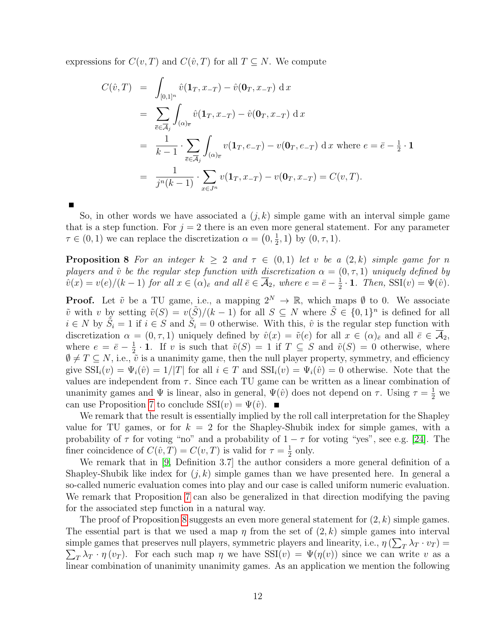expressions for  $C(v,T)$  and  $C(\hat{v},T)$  for all  $T \subseteq N$ . We compute

$$
C(\hat{v}, T) = \int_{[0,1]^n} \hat{v}(\mathbf{1}_T, x_{-T}) - \hat{v}(\mathbf{0}_T, x_{-T}) \, dx
$$
  
\n
$$
= \sum_{\bar{e} \in \overline{A}_j} \int_{(\alpha)_{\bar{e}}} \hat{v}(\mathbf{1}_T, x_{-T}) - \hat{v}(\mathbf{0}_T, x_{-T}) \, dx
$$
  
\n
$$
= \frac{1}{k-1} \cdot \sum_{\bar{e} \in \overline{A}_j} \int_{(\alpha)_{\bar{e}}} v(\mathbf{1}_T, e_{-T}) - v(\mathbf{0}_T, e_{-T}) \, dx \text{ where } e = \bar{e} - \frac{1}{2} \cdot \mathbf{1}
$$
  
\n
$$
= \frac{1}{j^n(k-1)} \cdot \sum_{x \in J^n} v(\mathbf{1}_T, x_{-T}) - v(\mathbf{0}_T, x_{-T}) = C(v, T).
$$

<span id="page-11-0"></span>

So, in other words we have associated a  $(j, k)$  simple game with an interval simple game that is a step function. For  $j = 2$  there is an even more general statement. For any parameter  $\tau \in (0,1)$  we can replace the discretization  $\alpha = \left(0, \frac{1}{2}\right)$  $(\frac{1}{2}, 1)$  by  $(0, \tau, 1)$ .

**Proposition 8** For an integer  $k \geq 2$  and  $\tau \in (0,1)$  let v be a  $(2,k)$  simple game for n players and  $\hat{v}$  be the regular step function with discretization  $\alpha = (0, \tau, 1)$  uniquely defined by  $\hat{v}(x) = v(e)/(k-1)$  for all  $x \in (\alpha)_{\bar{e}}$  and all  $\bar{e} \in \overline{\mathcal{A}}_2$ , where  $e = \bar{e} - \frac{1}{2}$  $\frac{1}{2} \cdot \mathbf{1}$ . Then, SSI(v) =  $\Psi(\hat{v})$ .

**Proof.** Let  $\tilde{v}$  be a TU game, i.e., a mapping  $2^N \to \mathbb{R}$ , which maps  $\emptyset$  to 0. We associate  $\tilde{v}$  with v by setting  $\tilde{v}(S) = v(\tilde{S})/(k-1)$  for all  $S \subseteq N$  where  $\tilde{S} \in \{0,1\}^n$  is defined for all  $i \in N$  by  $\tilde{S}_i = 1$  if  $i \in S$  and  $\tilde{S}_i = 0$  otherwise. With this,  $\hat{v}$  is the regular step function with discretization  $\alpha = (0, \tau, 1)$  uniquely defined by  $\hat{v}(x) = \tilde{v}(e)$  for all  $x \in (\alpha)_{\bar{e}}$  and all  $\bar{e} \in \overline{\mathcal{A}}_2$ , where  $e = \bar{e} - \frac{1}{2}$  $\frac{1}{2} \cdot \mathbf{1}$ . If v is such that  $\tilde{v}(S) = 1$  if  $T \subseteq S$  and  $\tilde{v}(S) = 0$  otherwise, where  $\emptyset \neq T \subseteq N$ , i.e.,  $\tilde{v}$  is a unanimity game, then the null player property, symmetry, and efficiency give  $\text{SSI}_i(v) = \Psi_i(\hat{v}) = 1/|T|$  for all  $i \in T$  and  $\text{SSI}_i(v) = \Psi_i(\hat{v}) = 0$  otherwise. Note that the values are independent from  $\tau$ . Since each TU game can be written as a linear combination of unanimity games and  $\Psi$  is linear, also in general,  $\Psi(\hat{v})$  does not depend on  $\tau$ . Using  $\tau = \frac{1}{2}$  we can use Proposition [7](#page-10-2) to conclude  $SSI(v) = \Psi(\hat{v})$ .

We remark that the result is essentially implied by the roll call interpretation for the Shapley value for TU games, or for  $k = 2$  for the Shapley-Shubik index for simple games, with a probability of  $\tau$  for voting "no" and a probability of  $1 - \tau$  for voting "yes", see e.g. [\[24\]](#page-24-9). The finer coincidence of  $C(\hat{v}, T) = C(v, T)$  is valid for  $\tau = \frac{1}{2}$  $rac{1}{2}$  only.

We remark that in [\[9,](#page-23-3) Definition 3.7] the author considers a more general definition of a Shapley-Shubik like index for  $(j, k)$  simple games than we have presented here. In general a so-called numeric evaluation comes into play and our case is called uniform numeric evaluation. We remark that Proposition [7](#page-10-2) can also be generalized in that direction modifying the paving for the associated step function in a natural way.

The proof of Proposition [8](#page-11-0) suggests an even more general statement for  $(2, k)$  simple games. The essential part is that we used a map  $\eta$  from the set of  $(2, k)$  simple games into interval simple games that preserves null players, symmetric players and linearity, i.e.,  $\eta\left(\sum_{T}\lambda_{T}\cdot v_{T}\right)$  $\sum_{T} \lambda_T \cdot \eta(v_T)$ . For each such map  $\eta$  we have  $\text{SSI}(v) = \Psi(\eta(v))$  since we can write v as a linear combination of unanimity unanimity games. As an application we mention the following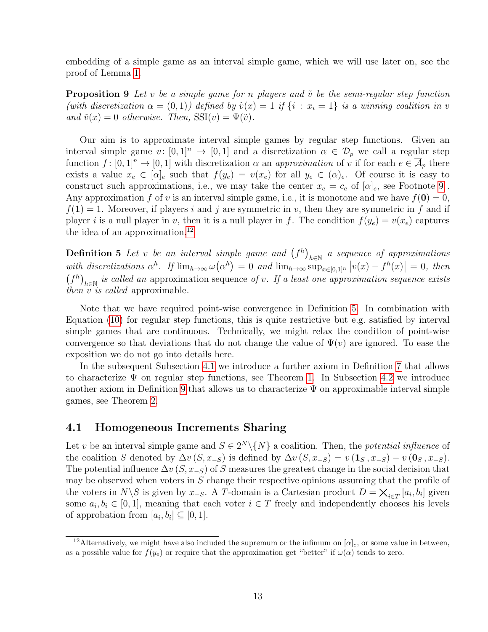embedding of a simple game as an interval simple game, which we will use later on, see the proof of Lemma [1.](#page-14-0)

<span id="page-12-4"></span>**Proposition 9** Let v be a simple game for n players and  $\tilde{v}$  be the semi-regular step function (with discretization  $\alpha = (0, 1)$ ) defined by  $\tilde{v}(x) = 1$  if  $\{i : x_i = 1\}$  is a winning coalition in v and  $\tilde{v}(x) = 0$  otherwise. Then,  $\text{SSI}(v) = \Psi(\tilde{v})$ .

Our aim is to approximate interval simple games by regular step functions. Given an interval simple game  $v: [0,1]^n \to [0,1]$  and a discretization  $\alpha \in \mathcal{D}_p$  we call a regular step function  $f: [0,1]^n \to [0,1]$  with discretization  $\alpha$  an approximation of v if for each  $e \in \overline{\mathcal{A}}_p$  there exists a value  $x_e \in [\alpha]_e$  such that  $f(y_e) = v(x_e)$  for all  $y_e \in (\alpha)_e$ . Of course it is easy to construct such approximations, i.e., we may take the center  $x_e = c_e$  of  $[\alpha]_e$ , see Footnote [9](#page-10-0). Any approximation f of v is an interval simple game, i.e., it is monotone and we have  $f(0) = 0$ ,  $f(1) = 1$ . Moreover, if players i and j are symmetric in v, then they are symmetric in f and if player i is a null player in v, then it is a null player in f. The condition  $f(y_e) = v(x_e)$  captures the idea of an approximation.<sup>[12](#page-12-1)</sup>

<span id="page-12-2"></span>**Definition 5** Let v be an interval simple game and  $(f^h)_{h \in \mathbb{N}}$  a sequence of approximations with discretizations  $\alpha^h$ . If  $\lim_{h\to\infty} \omega(\alpha^h) = 0$  and  $\lim_{h\to\infty} \sup_{x\in[0,1]^n} |v(x) - f^h(x)| = 0$ , then  $(f<sup>h</sup>)<sub>h∈N</sub>$  is called an approximation sequence of v. If a least one approximation sequence exists then v is called approximable.

Note that we have required point-wise convergence in Definition [5.](#page-12-2) In combination with Equation [\(10\)](#page-10-3) for regular step functions, this is quite restrictive but e.g. satisfied by interval simple games that are continuous. Technically, we might relax the condition of point-wise convergence so that deviations that do not change the value of  $\Psi(v)$  are ignored. To ease the exposition we do not go into details here.

In the subsequent Subsection [4.1](#page-12-0) we introduce a further axiom in Definition [7](#page-13-0) that allows to characterize  $\Psi$  on regular step functions, see Theorem [1.](#page-17-0) In Subsection [4.2](#page-20-1) we introduce another axiom in Definition [9](#page-20-2) that allows us to characterize  $\Psi$  on approximable interval simple games, see Theorem [2.](#page-20-0)

### <span id="page-12-0"></span>4.1 Homogeneous Increments Sharing

Let v be an interval simple game and  $S \in 2^N \backslash \{N\}$  a coalition. Then, the *potential influence* of the coalition S denoted by  $\Delta v(S, x_{-S})$  is defined by  $\Delta v(S, x_{-S}) = v(\mathbf{1}_S, x_{-S}) - v(\mathbf{0}_S, x_{-S}).$ The potential influence  $\Delta v$  (S,  $x_{-S}$ ) of S measures the greatest change in the social decision that may be observed when voters in  $S$  change their respective opinions assuming that the profile of the voters in  $N\backslash S$  is given by  $x_{-S}$ . A T-domain is a Cartesian product  $D = \bigtimes_{i \in T} [a_i, b_i]$  given some  $a_i, b_i \in [0, 1]$ , meaning that each voter  $i \in T$  freely and independently chooses his levels of approbation from  $[a_i, b_i] \subseteq [0, 1]$ .

<span id="page-12-3"></span><span id="page-12-1"></span><sup>&</sup>lt;sup>12</sup>Alternatively, we might have also included the supremum or the infimum on  $[\alpha]_e$ , or some value in between, as a possible value for  $f(y_e)$  or require that the approximation get "better" if  $\omega(\alpha)$  tends to zero.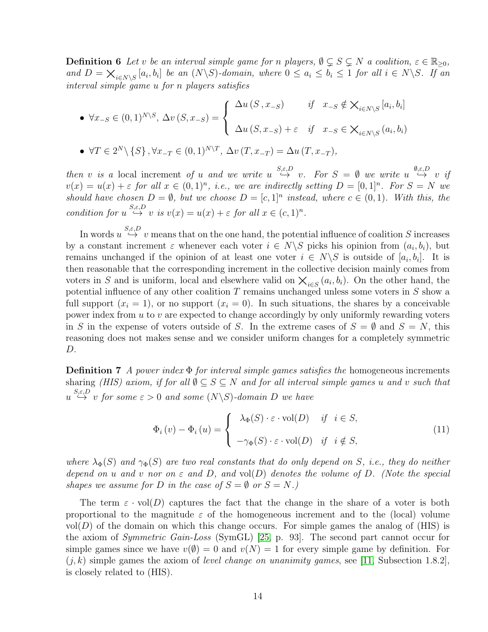**Definition 6** Let v be an interval simple game for n players,  $\emptyset \subsetneq S \subsetneq N$  a coalition,  $\varepsilon \in \mathbb{R}_{\geq 0}$ , and  $D = \bigtimes_{i \in N \setminus S} [a_i, b_i]$  be an  $(N \setminus S)$ -domain, where  $0 \le a_i \le b_i \le 1$  for all  $i \in N \setminus S$ . If an interval simple game u for n players satisfies

\n- \n
$$
\forall x_{-S} \in (0,1)^{N \setminus S}, \Delta v(S, x_{-S}) =\n \begin{cases}\n \Delta u(S, x_{-S}) & \text{if } x_{-S} \notin \mathbb{X}_{i \in N \setminus S} [a_i, b_i] \\
\Delta u(S, x_{-S}) + \varepsilon & \text{if } x_{-S} \in \mathbb{X}_{i \in N \setminus S} (a_i, b_i)\n \end{cases}
$$
\n
\n- \n
$$
\forall T \in 2^N \setminus \{S\}, \forall x_{-T} \in (0,1)^{N \setminus T}, \Delta v(T, x_{-T}) = \Delta u(T, x_{-T}),
$$
\n
\n

then v is a local increment of u and we write  $u \stackrel{S,\varepsilon,D}{\rightarrow} v$ . For  $S = \emptyset$  we write  $u \stackrel{\emptyset,\varepsilon,D}{\rightarrow} v$  if  $v(x) = u(x) + \varepsilon$  for all  $x \in (0,1)^n$ , i.e., we are indirectly setting  $D = [0,1]^n$ . For  $S = N$  we should have chosen  $D = \emptyset$ , but we choose  $D = [c, 1]^n$  instead, where  $c \in (0, 1)$ . With this, the condition for  $u \stackrel{S,\varepsilon, D}{\hookrightarrow} v$  is  $v(x) = u(x) + \varepsilon$  for all  $x \in (c,1)^n$ .

In words  $u \stackrel{S,\varepsilon,D}{\hookrightarrow} v$  means that on the one hand, the potential influence of coalition S increases by a constant increment  $\varepsilon$  whenever each voter  $i \in N \backslash S$  picks his opinion from  $(a_i, b_i)$ , but remains unchanged if the opinion of at least one voter  $i \in N \backslash S$  is outside of  $[a_i, b_i]$ . It is then reasonable that the corresponding increment in the collective decision mainly comes from voters in S and is uniform, local and elsewhere valid on  $\chi_{i\in S}(a_i,b_i)$ . On the other hand, the potential influence of any other coalition  $T$  remains unchanged unless some voters in  $S$  show a full support  $(x_i = 1)$ , or no support  $(x_i = 0)$ . In such situations, the shares by a conceivable power index from  $u$  to  $v$  are expected to change accordingly by only uniformly rewarding voters in S in the expense of voters outside of S. In the extreme cases of  $S = \emptyset$  and  $S = N$ , this reasoning does not makes sense and we consider uniform changes for a completely symmetric D.

<span id="page-13-0"></span>**Definition 7** A power index  $\Phi$  for interval simple games satisfies the homogeneous increments sharing (HIS) axiom, if for all  $\emptyset \subseteq S \subseteq N$  and for all interval simple games u and v such that  $u \stackrel{S,\varepsilon,D}{\hookrightarrow} v$  for some  $\varepsilon > 0$  and some  $(N \backslash S)$ -domain D we have

$$
\Phi_i(v) - \Phi_i(u) = \begin{cases} \lambda_{\Phi}(S) \cdot \varepsilon \cdot \text{vol}(D) & \text{if } i \in S, \\ -\gamma_{\Phi}(S) \cdot \varepsilon \cdot \text{vol}(D) & \text{if } i \notin S, \end{cases}
$$
\n(11)

where  $\lambda_{\Phi}(S)$  and  $\gamma_{\Phi}(S)$  are two real constants that do only depend on S, i.e., they do neither depend on u and v nor on  $\varepsilon$  and  $D$ , and vol $(D)$  denotes the volume of  $D$ . (Note the special shapes we assume for D in the case of  $S = \emptyset$  or  $S = N$ .)

The term  $\varepsilon \cdot \text{vol}(D)$  captures the fact that the change in the share of a voter is both proportional to the magnitude  $\varepsilon$  of the homogeneous increment and to the (local) volume  $vol(D)$  of the domain on which this change occurs. For simple games the analog of (HIS) is the axiom of Symmetric Gain-Loss (SymGL) [\[25,](#page-24-4) p. 93]. The second part cannot occur for simple games since we have  $v(\emptyset) = 0$  and  $v(N) = 1$  for every simple game by definition. For  $(j, k)$  simple games the axiom of level change on unanimity games, see [\[11,](#page-23-15) Subsection 1.8.2], is closely related to (HIS).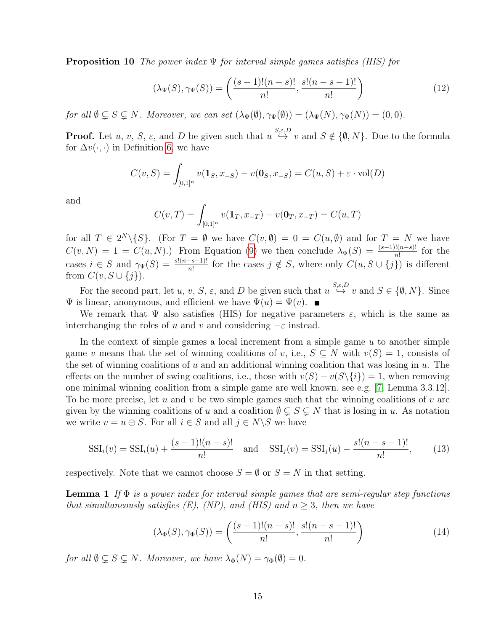**Proposition 10** The power index  $\Psi$  for interval simple games satisfies (HIS) for

$$
(\lambda_{\Psi}(S), \gamma_{\Psi}(S)) = \left(\frac{(s-1)!(n-s)!}{n!}, \frac{s!(n-s-1)!}{n!}\right)
$$
 (12)

for all  $\emptyset \subsetneq S \subsetneq N$ . Moreover, we can set  $(\lambda_{\Psi}(\emptyset), \gamma_{\Psi}(\emptyset)) = (\lambda_{\Psi}(N), \gamma_{\Psi}(N)) = (0, 0)$ .

**Proof.** Let  $u, v, S, \varepsilon$ , and D be given such that  $u \stackrel{S,\varepsilon, D}{\hookrightarrow} v$  and  $S \notin \{\emptyset, N\}$ . Due to the formula for  $\Delta v(\cdot, \cdot)$  in Definition [6,](#page-12-3) we have

$$
C(v, S) = \int_{[0,1]^n} v(\mathbf{1}_S, x_{-S}) - v(\mathbf{0}_S, x_{-S}) = C(u, S) + \varepsilon \cdot \text{vol}(D)
$$

and

$$
C(v,T) = \int_{[0,1]^n} v(\mathbf{1}_T, x_{-T}) - v(\mathbf{0}_T, x_{-T}) = C(u,T)
$$

for all  $T \in 2^N \setminus \{S\}$ . (For  $T = \emptyset$  we have  $C(v, \emptyset) = 0 = C(u, \emptyset)$  and for  $T = N$  we have  $C(v, N) = 1 = C(u, N)$ .) From Equation [\(9\)](#page-8-1) we then conclude  $\lambda_{\Psi}(S) = \frac{(s-1)!(n-s)!}{n!}$  for the cases  $i \in S$  and  $\gamma_{\Psi}(S) = \frac{s!(n-s-1)!}{n!}$  for the cases  $j \notin S$ , where only  $C(u, S \cup \{j\})$  is different from  $C(v, S \cup \{j\}).$ 

For the second part, let u, v, S,  $\varepsilon$ , and D be given such that  $u \stackrel{S,\varepsilon, D}{\hookrightarrow} v$  and  $S \in \{\emptyset, N\}$ . Since  $\Psi$  is linear, anonymous, and efficient we have  $\Psi(u) = \Psi(v)$ .

We remark that  $\Psi$  also satisfies (HIS) for negative parameters  $\varepsilon$ , which is the same as interchanging the roles of u and v and considering  $-\varepsilon$  instead.

In the context of simple games a local increment from a simple game  $u$  to another simple game v means that the set of winning coalitions of v, i.e.,  $S \subseteq N$  with  $v(S) = 1$ , consists of the set of winning coalitions of u and an additional winning coalition that was losing in  $u$ . The effects on the number of swing coalitions, i.e., those with  $v(S) - v(S\setminus\{i\}) = 1$ , when removing one minimal winning coalition from a simple game are well known, see e.g. [\[7,](#page-23-1) Lemma 3.3.12]. To be more precise, let u and v be two simple games such that the winning coalitions of v are given by the winning coalitions of u and a coalition  $\emptyset \subsetneq S \subsetneq N$  that is losing in u. As notation we write  $v = u \oplus S$ . For all  $i \in S$  and all  $j \in N \backslash S$  we have

<span id="page-14-2"></span>
$$
SSI_i(v) = SSI_i(u) + \frac{(s-1)!(n-s)!}{n!} \text{ and } SSI_j(v) = SSI_j(u) - \frac{s!(n-s-1)!}{n!}, \quad (13)
$$

<span id="page-14-0"></span>respectively. Note that we cannot choose  $S = \emptyset$  or  $S = N$  in that setting.

**Lemma 1** If  $\Phi$  is a power index for interval simple games that are semi-regular step functions that simultaneously satisfies  $(E)$ ,  $(NP)$ , and  $(HIS)$  and  $n \geq 3$ , then we have

<span id="page-14-1"></span>
$$
(\lambda_{\Phi}(S), \gamma_{\Phi}(S)) = \left(\frac{(s-1)!(n-s)!}{n!}, \frac{s!(n-s-1)!}{n!}\right)
$$
\n(14)

for all  $\emptyset \subsetneq S \subsetneq N$ . Moreover, we have  $\lambda_{\Phi}(N) = \gamma_{\Phi}(\emptyset) = 0$ .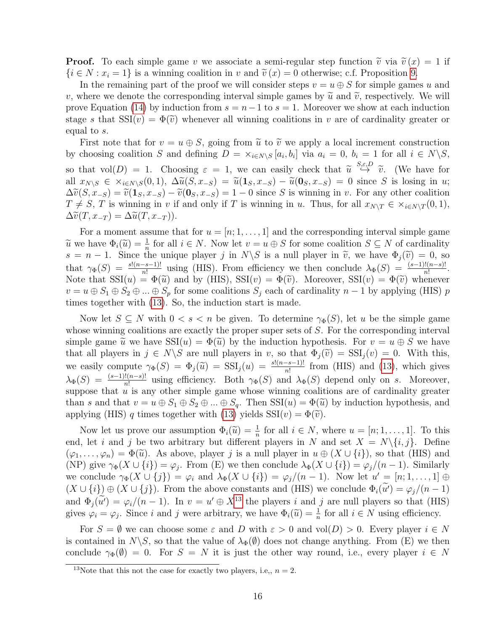**Proof.** To each simple game v we associate a semi-regular step function  $\tilde{v}$  via  $\tilde{v}(x) = 1$  if  $\{i \in N : x_i = 1\}$  is a winning coalition in v and  $\tilde{v}(x) = 0$  otherwise; c.f. Proposition [9.](#page-12-4)

In the remaining part of the proof we will consider steps  $v = u \oplus S$  for simple games u and v, where we denote the corresponding interval simple games by  $\tilde{u}$  and  $\tilde{v}$ , respectively. We will prove Equation [\(14\)](#page-14-1) by induction from  $s = n-1$  to  $s = 1$ . Moreover we show at each induction stage s that  $\text{SSI}(v) = \Phi(\tilde{v})$  whenever all winning coalitions in v are of cardinality greater or equal to s.

First note that for  $v = u \oplus S$ , going from  $\tilde{u}$  to  $\tilde{v}$  we apply a local increment construction by choosing coalition S and defining  $D = \times_{i \in N \setminus S} [a_i, b_i]$  via  $a_i = 0, b_i = 1$  for all  $i \in N \setminus S$ , so that  $vol(D) = 1$ . Choosing  $\varepsilon = 1$ , we can easily check that  $\tilde{u} \stackrel{S,\varepsilon,D}{\leftrightarrow} \tilde{v}$ . (We have for all  $x_{N\setminus S} \in \times_{i\in N\setminus S}(0,1), \ \Delta \widetilde{u}(S, x_{-S}) = \widetilde{u}(1_S, x_{-S}) - \widetilde{u}(0_S, x_{-S}) = 0$  since S is losing in u;  $\Delta \tilde{v}(S, x_{-S}) = \tilde{v}(1_S, x_{-S}) - \tilde{v}(0_S, x_{-S}) = 1 - 0$  since S is winning in v. For any other coalition  $T \neq S$ , T is winning in v if and only if T is winning in u. Thus, for all  $x_{N\setminus T} \in \times_{i \in N\setminus T} (0, 1)$ ,  $\Delta \widetilde{v}(T, x_{-T}) = \Delta \widetilde{u}(T, x_{-T}).$ 

For a moment assume that for  $u = [n; 1, \ldots, 1]$  and the corresponding interval simple game  $\widetilde{u}$  we have  $\Phi_i(\widetilde{u}) = \frac{1}{n}$  for all  $i \in N$ . Now let  $v = u \oplus S$  for some coalition  $S \subseteq N$  of cardinality  $s = n-1$ . Since the unique player  $i$  in  $N \setminus S$  is a pull player in  $\widetilde{u}$ , we have  $\Phi_i(\widetilde{u}) = 0$ , so  $s = n - 1$ . Since the unique player j in  $N\backslash S$  is a null player in  $\tilde{v}$ , we have  $\Phi_j(\tilde{v}) = 0$ , so that  $\gamma_{\Phi}(S) = \frac{s!(n-s-1)!}{n!}$  using (HIS). From efficiency we then conclude  $\lambda_{\Phi}(S) = \frac{(s-1)!(n-s)!}{n!}$ . Note that  $\text{SSI}(u) = \Phi(\tilde{u})$  and by (HIS),  $\text{SSI}(v) = \Phi(\tilde{v})$ . Moreover,  $\text{SSI}(v) = \Phi(\tilde{v})$  whenever  $v = u \oplus S_1 \oplus S_2 \oplus ... \oplus S_p$  for some coalitions  $S_j$  each of cardinality  $n-1$  by applying (HIS) p times together with [\(13\)](#page-14-2). So, the induction start is made.

Now let  $S \subseteq N$  with  $0 < s < n$  be given. To determine  $\gamma_{\Phi}(S)$ , let u be the simple game whose winning coalitions are exactly the proper super sets of S. For the corresponding interval simple game  $\tilde{u}$  we have  $\text{SSI}(u) = \Phi(\tilde{u})$  by the induction hypothesis. For  $v = u \oplus S$  we have that all players in  $j \in N \backslash S$  are null players in v, so that  $\Phi_i(\tilde{v}) = SSI_i(v) = 0$ . With this, we easily compute  $\gamma_{\Phi}(S) = \Phi_j(\tilde{u}) = \mathrm{SSI}_j(u) = \frac{s!(n-s-1)!}{n!}$  from (HIS) and [\(13\)](#page-14-2), which gives  $\lambda_{\Phi}(S) = \frac{(s-1)!(n-s)!}{n!}$  using efficiency. Both  $\gamma_{\Phi}(S)$  and  $\lambda_{\Phi}(S)$  depend only on s. Moreover, suppose that  $\tilde{u}$  is any other simple game whose winning coalitions are of cardinality greater than s and that  $v = u \oplus S_1 \oplus S_2 \oplus ... \oplus S_q$ . Then  $\text{SSI}(u) = \Phi(\tilde{u})$  by induction hypothesis, and applying (HIS) q times together with [\(13\)](#page-14-2) yields  $SSI(v) = \Phi(\tilde{v})$ .

Now let us prove our assumption  $\Phi_i(\tilde{u}) = \frac{1}{n}$  for all  $i \in N$ , where  $u = [n; 1, \ldots, 1]$ . To this let *i* and *i* be two arbitrary but different players in *N* and set  $X = N \setminus \{i, i\}$ . Define end, let i and j be two arbitrary but different players in N and set  $X = N\{i, j\}$ . Define  $(\varphi_1,\ldots,\varphi_n)=\Phi(\widetilde{u})$ . As above, player j is a null player in  $u\oplus (X\cup\{i\})$ , so that (HIS) and (NP) give  $\gamma_{\Phi}(X \cup \{i\}) = \varphi_j$ . From (E) we then conclude  $\lambda_{\Phi}(X \cup \{i\}) = \varphi_j/(n-1)$ . Similarly we conclude  $\gamma_{\Phi}(X \cup \{j\}) = \varphi_i$  and  $\lambda_{\Phi}(X \cup \{i\}) = \varphi_j/(n-1)$ . Now let  $u' = [n; 1, \dots, 1] \oplus$  $(X \cup \{i\}) \oplus (X \cup \{j\})$ . From the above constants and (HIS) we conclude  $\Phi_i(u') = \varphi_j/(n-1)$ and  $\Phi_j(\tilde{u}') = \varphi_i/(n-1)$ . In  $v = u' \oplus X^{13}$  $v = u' \oplus X^{13}$  $v = u' \oplus X^{13}$  the players i and j are null players so that (HIS) gives  $\varphi_i = \varphi_j$ . Since i and j were arbitrary, we have  $\Phi_i(\tilde{u}) = \frac{1}{n}$  for all  $i \in N$  using efficiency.

For  $S = \emptyset$  we can choose some  $\varepsilon$  and D with  $\varepsilon > 0$  and vol $(D) > 0$ . Every player  $i \in N$ is contained in  $N\backslash S$ , so that the value of  $\lambda_{\Phi}(\emptyset)$  does not change anything. From (E) we then conclude  $\gamma_{\Phi}(\emptyset) = 0$ . For  $S = N$  it is just the other way round, i.e., every player  $i \in N$ 

<span id="page-15-0"></span><sup>&</sup>lt;sup>13</sup>Note that this not the case for exactly two players, i.e.,  $n = 2$ .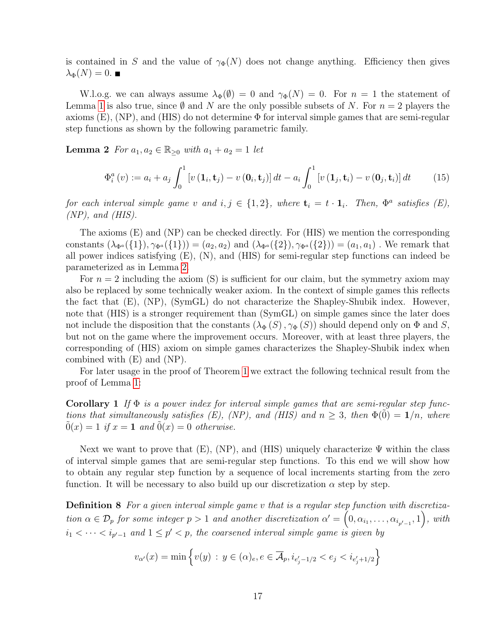is contained in S and the value of  $\gamma_{\Phi}(N)$  does not change anything. Efficiency then gives  $\lambda_{\Phi}(N)=0.$ 

W.l.o.g. we can always assume  $\lambda_{\Phi}(\emptyset) = 0$  and  $\gamma_{\Phi}(N) = 0$ . For  $n = 1$  the statement of Lemma [1](#page-14-0) is also true, since  $\emptyset$  and N are the only possible subsets of N. For  $n = 2$  players the axioms  $(E)$ ,  $(NP)$ , and  $(HIS)$  do not determine  $\Phi$  for interval simple games that are semi-regular step functions as shown by the following parametric family.

<span id="page-16-0"></span>**Lemma 2** For  $a_1, a_2 \in \mathbb{R}_{\geq 0}$  with  $a_1 + a_2 = 1$  let

$$
\Phi_i^a(v) := a_i + a_j \int_0^1 \left[ v\left(\mathbf{1}_i, \mathbf{t}_j\right) - v\left(\mathbf{0}_i, \mathbf{t}_j\right) \right] dt - a_i \int_0^1 \left[ v\left(\mathbf{1}_j, \mathbf{t}_i\right) - v\left(\mathbf{0}_j, \mathbf{t}_i\right) \right] dt \tag{15}
$$

for each interval simple game v and  $i, j \in \{1, 2\}$ , where  $\mathbf{t}_i = t \cdot \mathbf{1}_i$ . Then,  $\Phi^a$  satisfies  $(E)$ ,  $(NP)$ , and  $(HIS)$ .

The axioms (E) and (NP) can be checked directly. For (HIS) we mention the corresponding constants  $(\lambda_{\Phi^a}({1}), \gamma_{\Phi^a}({1})) = (a_2, a_2)$  and  $(\lambda_{\Phi^a}({2}), \gamma_{\Phi^a}({2})) = (a_1, a_1)$ . We remark that all power indices satisfying (E), (N), and (HIS) for semi-regular step functions can indeed be parameterized as in Lemma [2.](#page-16-0)

For  $n = 2$  including the axiom (S) is sufficient for our claim, but the symmetry axiom may also be replaced by some technically weaker axiom. In the context of simple games this reflects the fact that (E), (NP), (SymGL) do not characterize the Shapley-Shubik index. However, note that (HIS) is a stronger requirement than  $(SymGL)$  on simple games since the later does not include the disposition that the constants  $(\lambda_{\Phi}(S), \gamma_{\Phi}(S))$  should depend only on  $\Phi$  and S, but not on the game where the improvement occurs. Moreover, with at least three players, the corresponding of (HIS) axiom on simple games characterizes the Shapley-Shubik index when combined with (E) and (NP).

<span id="page-16-1"></span>For later usage in the proof of Theorem [1](#page-17-0) we extract the following technical result from the proof of Lemma [1:](#page-14-0)

**Corollary 1** If  $\Phi$  is a power index for interval simple games that are semi-regular step functions that simultaneously satisfies  $(E)$ ,  $(NP)$ , and  $(HIS)$  and  $n \geq 3$ , then  $\Phi(0) = 1/n$ , where  $0(x) = 1$  if  $x = 1$  and  $0(x) = 0$  otherwise.

Next we want to prove that  $(E)$ ,  $(NP)$ , and  $(HIS)$  uniquely characterize  $\Psi$  within the class of interval simple games that are semi-regular step functions. To this end we will show how to obtain any regular step function by a sequence of local increments starting from the zero function. It will be necessary to also build up our discretization  $\alpha$  step by step.

Definition 8 For a given interval simple game v that is a regular step function with discretization  $\alpha \in \mathcal{D}_p$  for some integer  $p > 1$  and another discretization  $\alpha' = (0, \alpha_{i_1}, \dots, \alpha_{i_{p'-1}}, 1)$ , with  $i_1 < \cdots < i_{p'-1}$  and  $1 \leq p' < p$ , the coarsened interval simple game is given by

$$
v_{\alpha'}(x) = \min \left\{ v(y) : y \in (\alpha)_e, e \in \overline{\mathcal{A}}_p, i_{e'_j - 1/2} < e_j < i_{e'_j + 1/2} \right\}
$$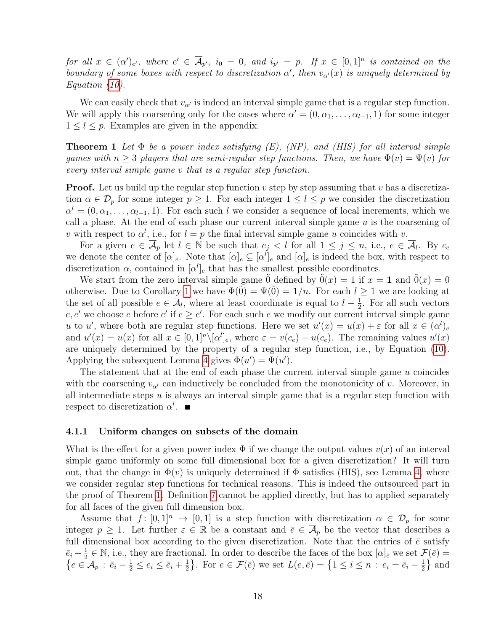for all  $x \in (\alpha')_{e'}$ , where  $e' \in \overline{A}_{p'}$ ,  $i_0 = 0$ , and  $i_{p'} = p$ . If  $x \in [0,1]^n$  is contained on the boundary of some boxes with respect to discretization  $\alpha'$ , then  $v_{\alpha'}(x)$  is uniquely determined by Equation [\(10\)](#page-10-3).

We can easily check that  $v_{\alpha}$  is indeed an interval simple game that is a regular step function. We will apply this coarsening only for the cases where  $\alpha' = (0, \alpha_1, \dots, \alpha_{l-1}, 1)$  for some integer  $1 \leq l \leq p$ . Examples are given in the appendix.

<span id="page-17-0"></span>**Theorem 1** Let  $\Phi$  be a power index satisfying  $(E)$ ,  $(NP)$ , and  $(HIS)$  for all interval simple games with  $n > 3$  players that are semi-regular step functions. Then, we have  $\Phi(v) = \Psi(v)$  for every interval simple game v that is a regular step function.

**Proof.** Let us build up the regular step function  $v$  step by step assuming that  $v$  has a discretization  $\alpha \in \mathcal{D}_p$  for some integer  $p \geq 1$ . For each integer  $1 \leq l \leq p$  we consider the discretization  $\alpha^l = (0, \alpha_1, \ldots, \alpha_{l-1}, 1)$ . For each such l we consider a sequence of local increments, which we call a phase. At the end of each phase our current interval simple game  $u$  is the coarsening of v with respect to  $\alpha^l$ , i.e., for  $l = p$  the final interval simple game u coincides with v.

For a given  $e \in \overline{\mathcal{A}}_p$  let  $l \in \mathbb{N}$  be such that  $e_j < l$  for all  $1 \leq j \leq n$ , i.e.,  $e \in \overline{\mathcal{A}}_l$ . By  $c_e$ we denote the center of  $[\alpha]_e$ . Note that  $[\alpha]_e \subseteq [\alpha^l]_e$  and  $[\alpha]_e$  is indeed the box, with respect to discretization  $\alpha$ , contained in  $[\alpha^l]_e$  that has the smallest possible coordinates.

We start from the zero interval simple game 0 defined by  $0(x) = 1$  if  $x = 1$  and  $0(x) = 0$ otherwise. Due to Corollary [1](#page-16-1) we have  $\Phi(0) = \Psi(0) = 1/n$ . For each  $l \geq 1$  we are looking at the set of all possible  $e \in \overline{\mathcal{A}}_l$ , where at least coordinate is equal to  $l - \frac{1}{2}$  $\frac{1}{2}$ . For all such vectors  $e, e'$  we choose e before  $e'$  if  $e \geq e'$ . For each such e we modify our current interval simple game u to u', where both are regular step functions. Here we set  $u'(x) = u(x) + \varepsilon$  for all  $x \in (\alpha^l)_e$ and  $u'(x) = u(x)$  for all  $x \in [0,1]^n \setminus [\alpha^l]_e$ , where  $\varepsilon = v(c_e) - u(c_e)$ . The remaining values  $u'(x)$ are uniquely determined by the property of a regular step function, i.e., by Equation [\(10\)](#page-10-3). Applying the subsequent Lemma [4](#page-18-0) gives  $\Phi(u') = \Psi(u')$ .

The statement that at the end of each phase the current interval simple game u coincides with the coarsening  $v_{\alpha}$  can inductively be concluded from the monotonicity of v. Moreover, in all intermediate steps  $u$  is always an interval simple game that is a regular step function with respect to discretization  $\alpha^l$ .

#### 4.1.1 Uniform changes on subsets of the domain

What is the effect for a given power index  $\Phi$  if we change the output values  $v(x)$  of an interval simple game uniformly on some full dimensional box for a given discretization? It will turn out, that the change in  $\Phi(v)$  is uniquely determined if  $\Phi$  satisfies (HIS), see Lemma [4,](#page-18-0) where we consider regular step functions for technical reasons. This is indeed the outsourced part in the proof of Theorem [1.](#page-17-0) Definition [7](#page-13-0) cannot be applied directly, but has to applied separately for all faces of the given full dimension box.

Assume that  $f: [0,1]^n \to [0,1]$  is a step function with discretization  $\alpha \in \mathcal{D}_p$  for some integer  $p \geq 1$ . Let further  $\varepsilon \in \mathbb{R}$  be a constant and  $\overline{e} \in \overline{\mathcal{A}}_p$  be the vector that describes a full dimensional box according to the given discretization. Note that the entries of  $\bar{e}$  satisfy  $\bar{e}_i - \frac{1}{2}$  $\frac{1}{2} \in \mathbb{N}$ , i.e., they are fractional. In order to describe the faces of the box  $[\alpha]_{\bar{e}}$  we set  $\mathcal{F}(\bar{e})$  =  $\{e \in \mathcal{A}_p : \bar{e}_i - \frac{1}{2} \leq e_i \leq \bar{e}_i + \frac{1}{2}\}$  $\frac{1}{2}$ . For  $e \in \mathcal{F}(\bar{e})$  we set  $L(e,\bar{e}) = \{1 \leq i \leq n : e_i = \bar{e}_i - \frac{1}{2}\}$  $\frac{1}{2}$  and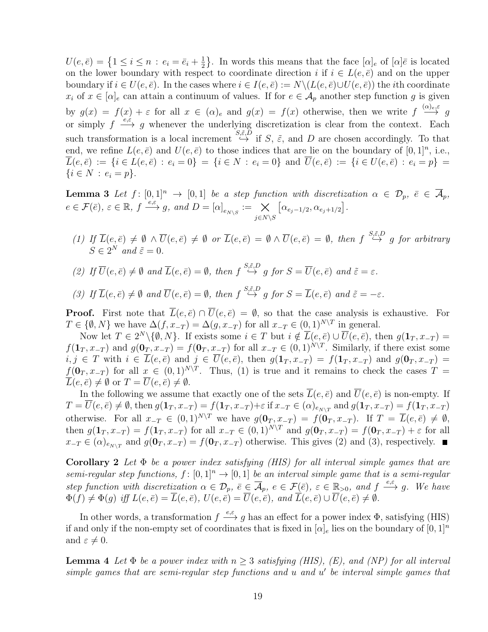$U(e, \bar{e}) = \left\{1 \leq i \leq n : e_i = \bar{e}_i + \frac{1}{2}\right\}$  $\frac{1}{2}$ . In words this means that the face  $[\alpha]_e$  of  $[\alpha]\bar{e}$  is located on the lower boundary with respect to coordinate direction i if  $i \in L(e, \bar{e})$  and on the upper boundary if  $i \in U(e, \bar{e})$ . In the cases where  $i \in I(e, \bar{e}) := N \setminus (L(e, \bar{e}) \cup U(e, \bar{e}))$  the *i*th coordinate  $x_i$  of  $x \in [\alpha]_e$  can attain a continuum of values. If for  $e \in \mathcal{A}_p$  another step function g is given by  $g(x) = f(x) + \varepsilon$  for all  $x \in (\alpha)_e$  and  $g(x) = f(x)$  otherwise, then we write  $f \stackrel{(\alpha)_{e,\varepsilon}}{\longrightarrow} g$ or simply  $f \xrightarrow{e,\varepsilon} g$  whenever the underlying discretization is clear from the context. Each such transformation is a local increment  $\stackrel{S,\tilde{\varepsilon},D}{\hookrightarrow}$  if S,  $\tilde{\varepsilon}$ , and D are chosen accordingly. To that end, we refine  $L(e, \bar{e})$  and  $U(e, \bar{e})$  to those indices that are lie on the boundary of  $[0, 1]^n$ , i.e.,  $\overline{L}(e,\overline{e}) := \{i \in L(e,\overline{e}) : e_i = 0\} = \{i \in N : e_i = 0\}$  and  $\overline{U}(e,\overline{e}) := \{i \in U(e,\overline{e}) : e_i = p\}$  $\{i \in N : e_i = p\}.$ 

<span id="page-18-1"></span>**Lemma 3** Let  $f: [0,1]^n \to [0,1]$  be a step function with discretization  $\alpha \in \mathcal{D}_p$ ,  $\overline{e} \in \overline{\mathcal{A}}_p$ ,  $e \in \mathcal{F}(\bar{e}),\ \varepsilon \in \mathbb{R},\ f \stackrel{e,\varepsilon}{\longrightarrow} g,\ and\ D = [\alpha]_{e_{N\setminus S}} := \underset{j \in N\setminus S}{\times}$  $[\alpha_{e_j-1/2}, \alpha_{e_j+1/2}].$ 

- (1) If  $\overline{L}(e,\overline{e}) \neq \emptyset \land \overline{U}(e,\overline{e}) \neq \emptyset$  or  $\overline{L}(e,\overline{e}) = \emptyset \land \overline{U}(e,\overline{e}) = \emptyset$ , then  $f \stackrel{S,\tilde{\varepsilon},D}{\hookrightarrow} g$  for arbitrary  $S \in 2^N$  and  $\tilde{\varepsilon} = 0$ .
- (2) If  $\overline{U}(e,\overline{e}) \neq \emptyset$  and  $\overline{L}(e,\overline{e}) = \emptyset$ , then  $f \stackrel{S,\tilde{\varepsilon},D}{\hookrightarrow} g$  for  $S = \overline{U}(e,\overline{e})$  and  $\tilde{\varepsilon} = \varepsilon$ .

(3) If 
$$
\overline{L}(e,\overline{e}) \neq \emptyset
$$
 and  $\overline{U}(e,\overline{e}) = \emptyset$ , then  $f \stackrel{S,\tilde{\varepsilon},D}{\hookrightarrow} g$  for  $S = \overline{L}(e,\overline{e})$  and  $\tilde{\varepsilon} = -\varepsilon$ .

**Proof.** First note that  $\overline{L}(e,\overline{e}) \cap \overline{U}(e,\overline{e}) = \emptyset$ , so that the case analysis is exhaustive. For  $T \in \{ \emptyset, N \}$  we have  $\Delta(f, x_{-T}) = \Delta(g, x_{-T})$  for all  $x_{-T} \in (0, 1)^{N \setminus T}$  in general.

Now let  $T \in 2^N \setminus \{\emptyset, N\}$ . If exists some  $i \in T$  but  $i \notin \overline{L}(e, \overline{e}) \cup \overline{U}(e, \overline{e})$ , then  $g(\mathbf{1}_T, x_{-T}) =$  $f(\mathbf{1}_T, x_{-T})$  and  $g(\mathbf{0}_T, x_{-T}) = f(\mathbf{0}_T, x_{-T})$  for all  $x_{-T} \in (0, 1)^{N \setminus T}$ . Similarly, if there exist some  $i, j \in T$  with  $i \in \overline{L}(e, \overline{e})$  and  $j \in \overline{U}(e, \overline{e})$ , then  $g(\mathbf{1}_T, x_{-T}) = f(\mathbf{1}_T, x_{-T})$  and  $g(\mathbf{0}_T, x_{-T}) =$  $f(\mathbf{0}_T, x_{-T})$  for all  $x \in (0,1)^{N \setminus T}$ . Thus, (1) is true and it remains to check the cases  $T =$  $\overline{L}(e,\overline{e})\neq\emptyset$  or  $T=\overline{U}(e,\overline{e})\neq\emptyset$ .

In the following we assume that exactly one of the sets  $L(e, \bar{e})$  and  $U(e, \bar{e})$  is non-empty. If  $T = \overline{U}(e,\overline{e}) \neq \emptyset$ , then  $g(\mathbf{1}_T, x_{-T}) = f(\mathbf{1}_T, x_{-T}) + \varepsilon$  if  $x_{-T} \in (\alpha)_{e_{N \setminus T}}$  and  $g(\mathbf{1}_T, x_{-T}) = f(\mathbf{1}_T, x_{-T})$ otherwise. For all  $x_{-T} \in (0,1)^{N\setminus T}$  we have  $g(\mathbf{0}_T, x_{-T}) = f(\mathbf{0}_T, x_{-T})$ . If  $T = \overline{L}(e,\overline{e}) \neq \emptyset$ , then  $g(1_T, x_{-T}) = f(1_T, x_{-T})$  for all  $x_{-T} \in (0, 1)^{N \setminus T}$  and  $g(0_T, x_{-T}) = f(0_T, x_{-T}) + \varepsilon$  for all  $x_{-T} \in (\alpha)_{e_{N\setminus T}}$  and  $g(\mathbf{0}_T, x_{-T}) = f(\mathbf{0}_T, x_{-T})$  otherwise. This gives (2) and (3), respectively.

<span id="page-18-2"></span>**Corollary 2** Let  $\Phi$  be a power index satisfying (HIS) for all interval simple games that are semi-regular step functions,  $f : [0, 1]^n \to [0, 1]$  be an interval simple game that is a semi-regular step function with discretization  $\alpha \in \mathcal{D}_p$ ,  $\overline{e} \in \overline{\mathcal{A}}_p$ ,  $e \in \mathcal{F}(\overline{e})$ ,  $\varepsilon \in \mathbb{R}_{>0}$ , and  $f \stackrel{e,\varepsilon}{\longrightarrow} g$ . We have  $\Phi(f) \neq \Phi(g)$  iff  $L(e, \bar{e}) = \overline{L}(e, \bar{e}), U(e, \bar{e}) = \overline{U}(e, \bar{e}),$  and  $\overline{L}(e, \bar{e}) \cup \overline{U}(e, \bar{e}) \neq \emptyset$ .

In other words, a transformation  $f \stackrel{e,\varepsilon}{\longrightarrow} g$  has an effect for a power index  $\Phi$ , satisfying (HIS) if and only if the non-empty set of coordinates that is fixed in  $[\alpha]_e$  lies on the boundary of  $[0,1]^n$ and  $\varepsilon \neq 0$ .

<span id="page-18-0"></span>**Lemma 4** Let  $\Phi$  be a power index with  $n \geq 3$  satisfying (HIS), (E), and (NP) for all interval  $simple\; games\; that\; are\; semi-regular\; step\; functions\; and\; u\; and\; u'\; be\; interval\; simple\; games\; that$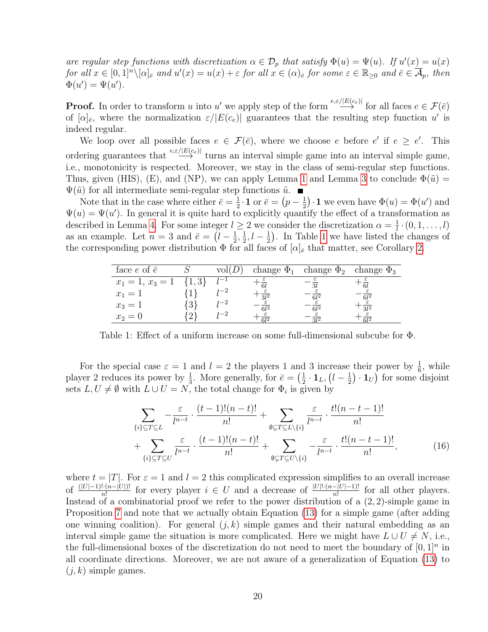are regular step functions with discretization  $\alpha \in \mathcal{D}_p$  that satisfy  $\Phi(u) = \Psi(u)$ . If  $u'(x) = u(x)$ for all  $x \in [0,1]^n \setminus [\alpha]_{\bar{e}}$  and  $u'(x) = u(x) + \varepsilon$  for all  $x \in (\alpha)_{\bar{e}}$  for some  $\varepsilon \in \mathbb{R}_{\geq 0}$  and  $\bar{e} \in \overline{\mathcal{A}}_p$ , then  $\Phi(u') = \Psi(u').$ 

**Proof.** In order to transform u into u' we apply step of the form  $\stackrel{e,\varepsilon/|E(c_e)|}{\longrightarrow}$  for all faces  $e \in \mathcal{F}(\bar{e})$ of  $[\alpha]_{\bar{e}}$ , where the normalization  $\varepsilon/|E(c_e)|$  guarantees that the resulting step function u' is indeed regular.

We loop over all possible faces  $e \in \mathcal{F}(\bar{e})$ , where we choose e before e' if  $e \geq e'$ . This ordering guarantees that  $\stackrel{e,\varepsilon/|E(c_e)|}{\longrightarrow}$  turns an interval simple game into an interval simple game, i.e., monotonicity is respected. Moreover, we stay in the class of semi-regular step functions. Thus, given (HIS), (E), and (NP), we can apply Lemma [1](#page-14-0) and Lemma [3](#page-18-1) to conclude  $\Phi(\tilde{u}) =$  $\Psi(\tilde{u})$  for all intermediate semi-regular step functions  $\tilde{u}$ .

Note that in the case where either  $\bar{e} = \frac{1}{2}$  $\frac{1}{2} \cdot \mathbf{1}$  or  $\bar{e} = \left(p - \frac{1}{2}\right)$  $\frac{1}{2}$ . 1 we even have  $\Phi(u) = \Phi(u')$  and  $\Psi(u) = \Psi(u')$ . In general it is quite hard to explicitly quantify the effect of a transformation as described in Lemma [4.](#page-18-0) For some integer  $l \geq 2$  we consider the discretization  $\alpha = \frac{1}{l}$  $\frac{1}{l}\cdot (0,1,\ldots,l)$ as an example. Let  $n=3$  and  $\bar{e} = (l - \frac{1}{2})$  $\frac{1}{2}, \frac{1}{2}$  $\frac{1}{2}, l - \frac{1}{2}$  $\frac{1}{2}$ ). In Table [1](#page-19-0) we have listed the changes of the corresponding power distribution  $\Phi$  for all faces of  $[\alpha]_{\bar{e}}$  that matter, see Corollary [2.](#page-18-2)

<span id="page-19-0"></span>

| face $e$ of $\bar{e}$      | VOII |            | change $\Phi_1$ change $\Phi_2$ change $\Phi_3$ |      |
|----------------------------|------|------------|-------------------------------------------------|------|
| $x_1 = 1, x_3 = 1 \{1,3\}$ |      | 61         |                                                 |      |
| $x_1 = 1$                  |      | 912        |                                                 | -612 |
| $x_3 = 1$                  |      | $\epsilon$ | e 1'                                            | 912  |
| $x_2=0$                    |      |            |                                                 |      |

Table 1: Effect of a uniform increase on some full-dimensional subcube for Φ.

For the special case  $\varepsilon = 1$  and  $l = 2$  the players 1 and 3 increase their power by  $\frac{1}{6}$ , while player 2 reduces its power by  $\frac{1}{3}$ . More generally, for  $\bar{e} = \left(\frac{1}{2}\right)$  $\frac{1}{2} \cdot \mathbf{1}_L, \bigl(l-\frac{1}{2}$  $(\frac{1}{2}) \cdot \mathbf{1}_U$  for some disjoint sets  $L, U \neq \emptyset$  with  $L \cup U = N$ , the total change for  $\Phi_i$  is given by

<span id="page-19-1"></span>
$$
\sum_{\{i\} \subseteq T \subseteq L} -\frac{\varepsilon}{l^{n-t}} \cdot \frac{(t-1)!(n-t)!}{n!} + \sum_{\emptyset \subseteq T \subseteq L \setminus \{i\}} \frac{\varepsilon}{l^{n-t}} \cdot \frac{t!(n-t-1)!}{n!} + \sum_{\emptyset \subseteq T \subseteq U \setminus \{i\}} -\frac{\varepsilon}{l^{n-t}} \cdot \frac{t!(n-t-1)!}{n!},
$$
\n
$$
+ \sum_{\{i\} \subseteq T \subseteq U} \frac{\varepsilon}{l^{n-t}} \cdot \frac{(t-1)!(n-t)!}{n!} + \sum_{\emptyset \subseteq T \subseteq U \setminus \{i\}} -\frac{\varepsilon}{l^{n-t}} \cdot \frac{t!(n-t-1)!}{n!},
$$
\n(16)

where  $t = |T|$ . For  $\varepsilon = 1$  and  $l = 2$  this complicated expression simplifies to an overall increase of  $\frac{(|U|-1)! \cdot (n-|U|)!}{n!}$  for every player  $i \in U$  and a decrease of  $\frac{|U|! \cdot (n-|U|-1)!}{n!}$  for all other players. Instead of a combinatorial proof we refer to the power distribution of a  $(2, 2)$ -simple game in Proposition [7](#page-10-2) and note that we actually obtain Equation [\(13\)](#page-14-2) for a simple game (after adding one winning coalition). For general  $(j, k)$  simple games and their natural embedding as an interval simple game the situation is more complicated. Here we might have  $L \cup U \neq N$ , i.e., the full-dimensional boxes of the discretization do not need to meet the boundary of  $[0,1]^n$  in all coordinate directions. Moreover, we are not aware of a generalization of Equation [\(13\)](#page-14-2) to  $(i, k)$  simple games.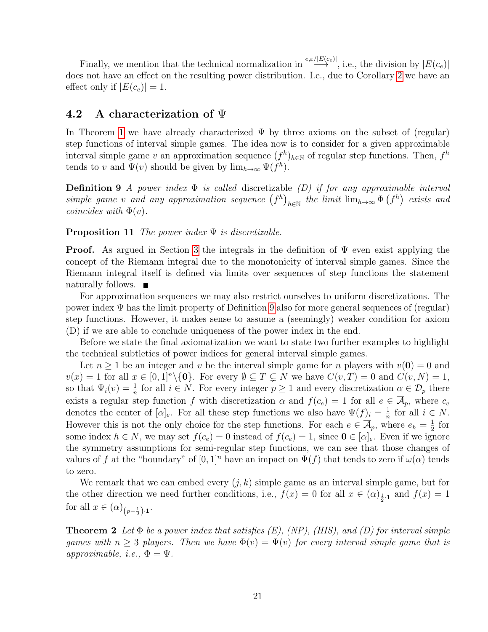Finally, we mention that the technical normalization in  $\stackrel{e,\varepsilon/|E(c_e)|}{\longrightarrow}$ , i.e., the division by  $|E(c_e)|$ does not have an effect on the resulting power distribution. I.e., due to Corollary [2](#page-18-2) we have an effect only if  $|E(c_e)| = 1$ .

### <span id="page-20-1"></span>4.2 A characterization of  $\Psi$

In Theorem [1](#page-17-0) we have already characterized  $\Psi$  by three axioms on the subset of (regular) step functions of interval simple games. The idea now is to consider for a given approximable interval simple game v an approximation sequence  $(f^h)_{h\in\mathbb{N}}$  of regular step functions. Then,  $f^h$ tends to v and  $\Psi(v)$  should be given by  $\lim_{h\to\infty} \Psi(f^h)$ .

<span id="page-20-2"></span>**Definition 9** A power index  $\Phi$  is called discretizable (D) if for any approximable interval simple game v and any approximation sequence  $(f^h)_{h \in \mathbb{N}}$  the limit  $\lim_{h\to\infty} \Phi(f^h)$  exists and coincides with  $\Phi(v)$ .

### <span id="page-20-3"></span>**Proposition 11** The power index  $\Psi$  is discretizable.

**Proof.** As argued in Section [3](#page-5-0) the integrals in the definition of  $\Psi$  even exist applying the concept of the Riemann integral due to the monotonicity of interval simple games. Since the Riemann integral itself is defined via limits over sequences of step functions the statement naturally follows. ■

For approximation sequences we may also restrict ourselves to uniform discretizations. The power index  $\Psi$  has the limit property of Definition [9](#page-20-2) also for more general sequences of (regular) step functions. However, it makes sense to assume a (seemingly) weaker condition for axiom (D) if we are able to conclude uniqueness of the power index in the end.

Before we state the final axiomatization we want to state two further examples to highlight the technical subtleties of power indices for general interval simple games.

Let  $n \geq 1$  be an integer and v be the interval simple game for n players with  $v(\mathbf{0}) = 0$  and  $v(x) = 1$  for all  $x \in [0,1]^n \setminus \{0\}$ . For every  $\emptyset \subseteq T \subsetneq N$  we have  $C(v,T) = 0$  and  $C(v, N) = 1$ , so that  $\Psi_i(v) = \frac{1}{n}$  for all  $i \in N$ . For every integer  $p \ge 1$  and every discretization  $\alpha \in \mathcal{D}_p$  there exists a regular step function f with discretization  $\alpha$  and  $f(c_e) = 1$  for all  $e \in \overline{\mathcal{A}}_p$ , where  $c_e$ denotes the center of  $[\alpha]_e$ . For all these step functions we also have  $\Psi(f)_i = \frac{1}{n}$  $\frac{1}{n}$  for all  $i \in N$ . However this is not the only choice for the step functions. For each  $e \in \overline{\mathcal{A}}_p$ , where  $e_h = \frac{1}{2}$  $rac{1}{2}$  for some index  $h \in N$ , we may set  $f(c_e) = 0$  instead of  $f(c_e) = 1$ , since  $\mathbf{0} \in [\alpha]_e$ . Even if we ignore the symmetry assumptions for semi-regular step functions, we can see that those changes of values of f at the "boundary" of  $[0,1]^n$  have an impact on  $\Psi(f)$  that tends to zero if  $\omega(\alpha)$  tends to zero.

We remark that we can embed every  $(j, k)$  simple game as an interval simple game, but for the other direction we need further conditions, i.e.,  $f(x) = 0$  for all  $x \in (\alpha)_{\frac{1}{2}\cdot 1}$  and  $f(x) = 1$ for all  $x \in (\alpha)_{\left(p-\frac{1}{2}\right)\cdot 1}$ .

<span id="page-20-0"></span>**Theorem 2** Let  $\Phi$  be a power index that satisfies (E), (NP), (HIS), and (D) for interval simple games with  $n \geq 3$  players. Then we have  $\Phi(v) = \Psi(v)$  for every interval simple game that is approximable, i.e.,  $\Phi = \Psi$ .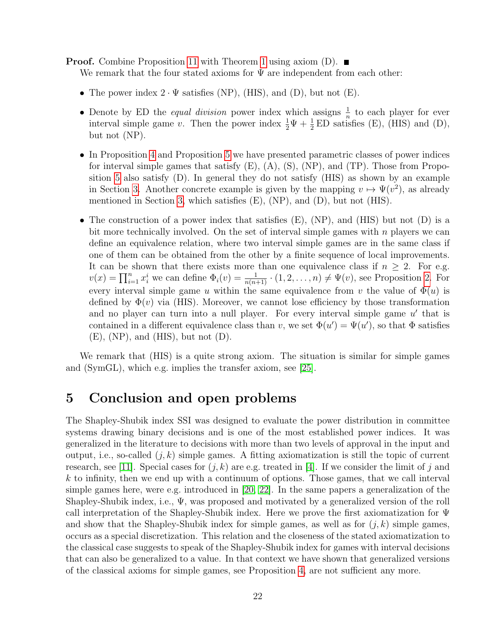**Proof.** Combine Proposition [11](#page-20-3) with Theorem [1](#page-17-0) using axiom  $(D)$ .

We remark that the four stated axioms for  $\Psi$  are independent from each other:

- The power index  $2 \cdot \Psi$  satisfies (NP), (HIS), and (D), but not (E).
- Denote by ED the *equal division* power index which assigns  $\frac{1}{n}$  to each player for ever interval simple game v. Then the power index  $\frac{1}{2}\Psi + \frac{1}{2}ED$  satisfies (E), (HIS) and (D), but not (NP).
- In Proposition [4](#page-7-0) and Proposition [5](#page-7-1) we have presented parametric classes of power indices for interval simple games that satisfy  $(E)$ ,  $(A)$ ,  $(S)$ ,  $(NP)$ , and  $(TP)$ . Those from Proposition [5](#page-7-1) also satisfy (D). In general they do not satisfy (HIS) as shown by an example in Section [3.](#page-5-0) Another concrete example is given by the mapping  $v \mapsto \Psi(v^2)$ , as already mentioned in Section [3,](#page-5-0) which satisfies  $(E)$ ,  $(NP)$ , and  $(D)$ , but not  $(HIS)$ .
- The construction of a power index that satisfies  $(E)$ ,  $(NP)$ , and  $(HIS)$  but not  $(D)$  is a bit more technically involved. On the set of interval simple games with  $n$  players we can define an equivalence relation, where two interval simple games are in the same class if one of them can be obtained from the other by a finite sequence of local improvements. It can be shown that there exists more than one equivalence class if  $n \geq 2$ . For e.g.  $v(x) = \prod_{i=1}^n x_i^i$  we can define  $\Phi_i(v) = \frac{1}{n(n+1)} \cdot (1, 2, \ldots, n) \neq \Psi(v)$ , see Proposition [2.](#page-6-2) For every interval simple game u within the same equivalence from v the value of  $\Phi(u)$  is defined by  $\Phi(v)$  via (HIS). Moreover, we cannot lose efficiency by those transformation and no player can turn into a null player. For every interval simple game  $u'$  that is contained in a different equivalence class than v, we set  $\Phi(u') = \Psi(u')$ , so that  $\Phi$  satisfies  $(E)$ , (NP), and (HIS), but not  $(D)$ .

We remark that (HIS) is a quite strong axiom. The situation is similar for simple games and (SymGL), which e.g. implies the transfer axiom, see [\[25\]](#page-24-4).

# <span id="page-21-0"></span>5 Conclusion and open problems

The Shapley-Shubik index SSI was designed to evaluate the power distribution in committee systems drawing binary decisions and is one of the most established power indices. It was generalized in the literature to decisions with more than two levels of approval in the input and output, i.e., so-called  $(j, k)$  simple games. A fitting axiomatization is still the topic of current research, see [\[11\]](#page-23-15). Special cases for  $(j, k)$  are e.g. treated in [\[4\]](#page-23-16). If we consider the limit of j and  $k$  to infinity, then we end up with a continuum of options. Those games, that we call interval simple games here, were e.g. introduced in [\[20,](#page-24-1) [22\]](#page-24-3). In the same papers a generalization of the Shapley-Shubik index, i.e.,  $\Psi$ , was proposed and motivated by a generalized version of the roll call interpretation of the Shapley-Shubik index. Here we prove the first axiomatization for Ψ and show that the Shapley-Shubik index for simple games, as well as for  $(j, k)$  simple games, occurs as a special discretization. This relation and the closeness of the stated axiomatization to the classical case suggests to speak of the Shapley-Shubik index for games with interval decisions that can also be generalized to a value. In that context we have shown that generalized versions of the classical axioms for simple games, see Proposition [4,](#page-7-0) are not sufficient any more.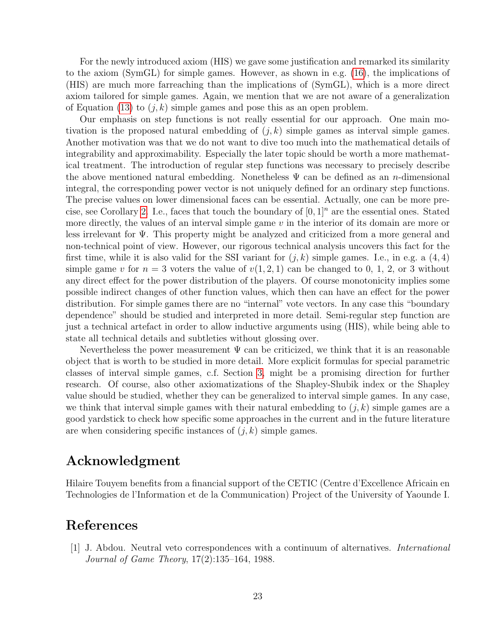For the newly introduced axiom (HIS) we gave some justification and remarked its similarity to the axiom (SymGL) for simple games. However, as shown in e.g. [\(16\)](#page-19-1), the implications of (HIS) are much more farreaching than the implications of (SymGL), which is a more direct axiom tailored for simple games. Again, we mention that we are not aware of a generalization of Equation [\(13\)](#page-14-2) to  $(j, k)$  simple games and pose this as an open problem.

Our emphasis on step functions is not really essential for our approach. One main motivation is the proposed natural embedding of  $(j, k)$  simple games as interval simple games. Another motivation was that we do not want to dive too much into the mathematical details of integrability and approximability. Especially the later topic should be worth a more mathematical treatment. The introduction of regular step functions was necessary to precisely describe the above mentioned natural embedding. Nonetheless  $\Psi$  can be defined as an *n*-dimensional integral, the corresponding power vector is not uniquely defined for an ordinary step functions. The precise values on lower dimensional faces can be essential. Actually, one can be more pre-cise, see Corollary [2.](#page-18-2) I.e., faces that touch the boundary of  $[0, 1]^n$  are the essential ones. Stated more directly, the values of an interval simple game  $v$  in the interior of its domain are more or less irrelevant for Ψ. This property might be analyzed and criticized from a more general and non-technical point of view. However, our rigorous technical analysis uncovers this fact for the first time, while it is also valid for the SSI variant for  $(j, k)$  simple games. I.e., in e.g. a  $(4, 4)$ simple game v for  $n = 3$  voters the value of  $v(1, 2, 1)$  can be changed to 0, 1, 2, or 3 without any direct effect for the power distribution of the players. Of course monotonicity implies some possible indirect changes of other function values, which then can have an effect for the power distribution. For simple games there are no "internal" vote vectors. In any case this "boundary dependence" should be studied and interpreted in more detail. Semi-regular step function are just a technical artefact in order to allow inductive arguments using (HIS), while being able to state all technical details and subtleties without glossing over.

Nevertheless the power measurement  $\Psi$  can be criticized, we think that it is an reasonable object that is worth to be studied in more detail. More explicit formulas for special parametric classes of interval simple games, c.f. Section [3,](#page-5-0) might be a promising direction for further research. Of course, also other axiomatizations of the Shapley-Shubik index or the Shapley value should be studied, whether they can be generalized to interval simple games. In any case, we think that interval simple games with their natural embedding to  $(j, k)$  simple games are a good yardstick to check how specific some approaches in the current and in the future literature are when considering specific instances of  $(j, k)$  simple games.

# Acknowledgment

Hilaire Touyem benefits from a financial support of the CETIC (Centre d'Excellence Africain en Technologies de l'Information et de la Communication) Project of the University of Yaounde I.

# References

<span id="page-22-0"></span>[1] J. Abdou. Neutral veto correspondences with a continuum of alternatives. International Journal of Game Theory, 17(2):135–164, 1988.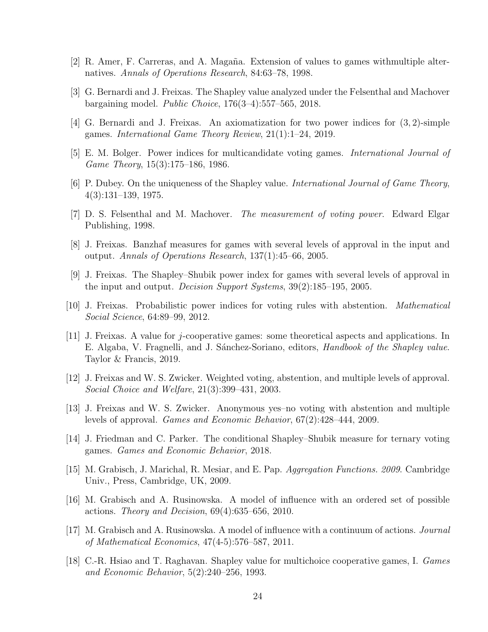- <span id="page-23-5"></span>[2] R. Amer, F. Carreras, and A. Magaña. Extension of values to games withmultiple alternatives. Annals of Operations Research, 84:63–78, 1998.
- <span id="page-23-14"></span>[3] G. Bernardi and J. Freixas. The Shapley value analyzed under the Felsenthal and Machover bargaining model. Public Choice, 176(3–4):557–565, 2018.
- <span id="page-23-16"></span>[4] G. Bernardi and J. Freixas. An axiomatization for two power indices for (3, 2)-simple games. International Game Theory Review, 21(1):1–24, 2019.
- <span id="page-23-12"></span>[5] E. M. Bolger. Power indices for multicandidate voting games. International Journal of Game Theory, 15(3):175–186, 1986.
- <span id="page-23-13"></span>[6] P. Dubey. On the uniqueness of the Shapley value. International Journal of Game Theory, 4(3):131–139, 1975.
- <span id="page-23-1"></span>[7] D. S. Felsenthal and M. Machover. The measurement of voting power. Edward Elgar Publishing, 1998.
- <span id="page-23-7"></span>[8] J. Freixas. Banzhaf measures for games with several levels of approval in the input and output. Annals of Operations Research, 137(1):45–66, 2005.
- <span id="page-23-3"></span>[9] J. Freixas. The Shapley–Shubik power index for games with several levels of approval in the input and output. Decision Support Systems, 39(2):185–195, 2005.
- <span id="page-23-9"></span>[10] J. Freixas. Probabilistic power indices for voting rules with abstention. Mathematical Social Science, 64:89–99, 2012.
- <span id="page-23-15"></span>[11] J. Freixas. A value for *j*-cooperative games: some theoretical aspects and applications. In E. Algaba, V. Fragnelli, and J. Sánchez-Soriano, editors, Handbook of the Shapley value. Taylor & Francis, 2019.
- <span id="page-23-0"></span>[12] J. Freixas and W. S. Zwicker. Weighted voting, abstention, and multiple levels of approval. Social Choice and Welfare, 21(3):399–431, 2003.
- <span id="page-23-11"></span>[13] J. Freixas and W. S. Zwicker. Anonymous yes–no voting with abstention and multiple levels of approval. Games and Economic Behavior, 67(2):428–444, 2009.
- <span id="page-23-2"></span>[14] J. Friedman and C. Parker. The conditional Shapley–Shubik measure for ternary voting games. Games and Economic Behavior, 2018.
- <span id="page-23-6"></span>[15] M. Grabisch, J. Marichal, R. Mesiar, and E. Pap. Aggregation Functions. 2009. Cambridge Univ., Press, Cambridge, UK, 2009.
- <span id="page-23-8"></span>[16] M. Grabisch and A. Rusinowska. A model of influence with an ordered set of possible actions. Theory and Decision,  $69(4):635-656$ , 2010.
- <span id="page-23-10"></span>[17] M. Grabisch and A. Rusinowska. A model of influence with a continuum of actions. Journal of Mathematical Economics, 47(4-5):576–587, 2011.
- <span id="page-23-4"></span>[18] C.-R. Hsiao and T. Raghavan. Shapley value for multichoice cooperative games, I. Games and Economic Behavior, 5(2):240–256, 1993.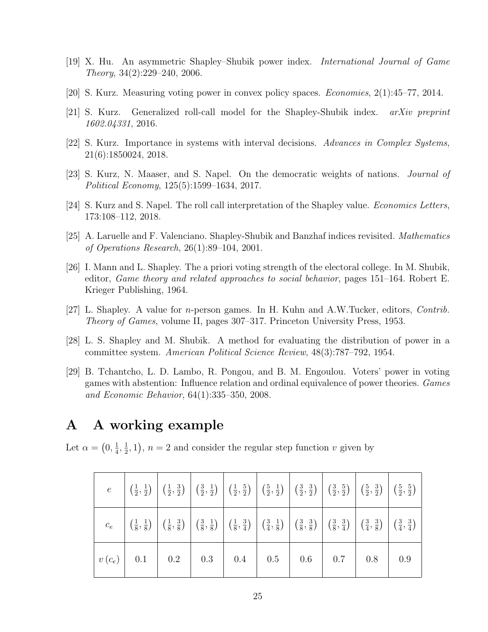- <span id="page-24-8"></span>[19] X. Hu. An asymmetric Shapley–Shubik power index. International Journal of Game Theory, 34(2):229–240, 2006.
- <span id="page-24-1"></span>[20] S. Kurz. Measuring voting power in convex policy spaces. Economies, 2(1):45–77, 2014.
- <span id="page-24-10"></span>[21] S. Kurz. Generalized roll-call model for the Shapley-Shubik index. arXiv preprint 1602.04331, 2016.
- <span id="page-24-3"></span>[22] S. Kurz. Importance in systems with interval decisions. Advances in Complex Systems, 21(6):1850024, 2018.
- <span id="page-24-5"></span>[23] S. Kurz, N. Maaser, and S. Napel. On the democratic weights of nations. Journal of Political Economy, 125(5):1599–1634, 2017.
- <span id="page-24-9"></span>[24] S. Kurz and S. Napel. The roll call interpretation of the Shapley value. Economics Letters, 173:108–112, 2018.
- <span id="page-24-4"></span>[25] A. Laruelle and F. Valenciano. Shapley-Shubik and Banzhaf indices revisited. Mathematics of Operations Research, 26(1):89–104, 2001.
- <span id="page-24-7"></span>[26] I. Mann and L. Shapley. The a priori voting strength of the electoral college. In M. Shubik, editor, Game theory and related approaches to social behavior, pages 151–164. Robert E. Krieger Publishing, 1964.
- <span id="page-24-6"></span>[27] L. Shapley. A value for n-person games. In H. Kuhn and A.W.Tucker, editors, Contrib. Theory of Games, volume II, pages 307–317. Princeton University Press, 1953.
- <span id="page-24-0"></span>[28] L. S. Shapley and M. Shubik. A method for evaluating the distribution of power in a committee system. American Political Science Review, 48(3):787–792, 1954.
- <span id="page-24-2"></span>[29] B. Tchantcho, L. D. Lambo, R. Pongou, and B. M. Engoulou. Voters' power in voting games with abstention: Influence relation and ordinal equivalence of power theories. Games and Economic Behavior, 64(1):335–350, 2008.

# A A working example

Let  $\alpha = \left(0, \frac{1}{4}\right)$  $\frac{1}{4}, \frac{1}{2}$  $(\frac{1}{2}, 1), n = 2$  and consider the regular step function v given by

|  | $e \left[\left(\frac{1}{2},\frac{1}{2}\right)\right] \left(\frac{1}{2},\frac{3}{2}\right) \left[\left(\frac{3}{2},\frac{1}{2}\right)\right] \left(\frac{3}{2},\frac{5}{2}\right) \left[\left(\frac{5}{2},\frac{1}{2}\right)\right] \left(\frac{3}{2},\frac{3}{2}\right) \left[\left(\frac{3}{2},\frac{5}{2}\right)\right] \left(\frac{5}{2},\frac{3}{2}\right) \left[\left(\frac{5}{2},\frac{5}{2}\right)\right]$                                        |  |  |  |  |
|--|----------------------------------------------------------------------------------------------------------------------------------------------------------------------------------------------------------------------------------------------------------------------------------------------------------------------------------------------------------------------------------------------------------------------------------------------------------|--|--|--|--|
|  | $c_e \left[ \left( \frac{1}{8}, \frac{1}{8} \right) \right] \left( \frac{1}{8}, \frac{3}{8} \right) \left[ \left( \frac{3}{8}, \frac{1}{8} \right) \right] \left( \frac{1}{8}, \frac{3}{4} \right) \left[ \left( \frac{3}{4}, \frac{1}{8} \right) \right] \left( \frac{3}{8}, \frac{3}{8} \right) \left[ \left( \frac{3}{8}, \frac{3}{4} \right) \right] \left( \frac{3}{4}, \frac{3}{8} \right) \left[ \left( \frac{3}{4}, \frac{3}{8} \right) \right]$ |  |  |  |  |
|  |                                                                                                                                                                                                                                                                                                                                                                                                                                                          |  |  |  |  |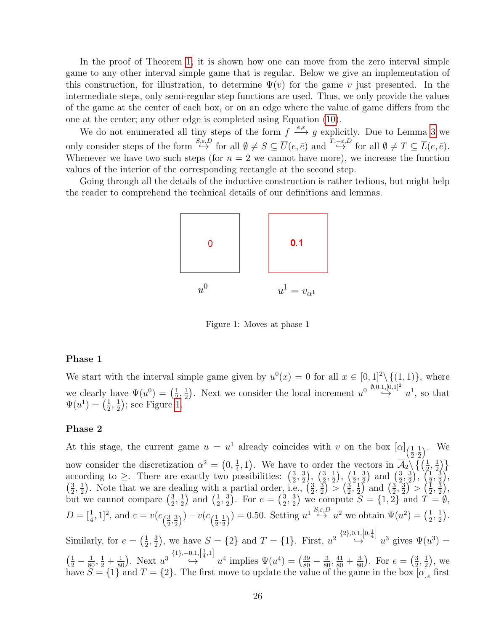In the proof of Theorem [1,](#page-17-0) it is shown how one can move from the zero interval simple game to any other interval simple game that is regular. Below we give an implementation of this construction, for illustration, to determine  $\Psi(v)$  for the game v just presented. In the intermediate steps, only semi-regular step functions are used. Thus, we only provide the values of the game at the center of each box, or on an edge where the value of game differs from the one at the center; any other edge is completed using Equation [\(10\)](#page-10-3).

We do not enumerated all tiny steps of the form  $f \stackrel{e,\varepsilon}{\longrightarrow} g$  explicitly. Due to Lemma [3](#page-18-1) we only consider steps of the form  $\stackrel{S,\varepsilon,D}{\hookrightarrow}$  for all  $\emptyset \neq S \subseteq \overline{U}(e,\overline{e})$  and  $\stackrel{T,-\varepsilon,D}{\hookrightarrow}$  for all  $\emptyset \neq T \subseteq \overline{L}(e,\overline{e})$ . Whenever we have two such steps (for  $n = 2$  we cannot have more), we increase the function values of the interior of the corresponding rectangle at the second step.

Going through all the details of the inductive construction is rather tedious, but might help the reader to comprehend the technical details of our definitions and lemmas.



<span id="page-25-0"></span>Figure 1: Moves at phase 1

#### Phase 1

We start with the interval simple game given by  $u^0(x) = 0$  for all  $x \in [0,1]^2 \setminus \{(1,1)\}\)$ , where we clearly have  $\Psi(u^0) = \left(\frac{1}{2}\right)$  $\frac{1}{2}, \frac{1}{2}$  $\frac{1}{2}$ ). Next we consider the local increment  $u^0 \stackrel{\emptyset,0.1,[0,1]^2}{\hookrightarrow} u^1$ , so that  $\Psi(u^1) = \left(\frac{1}{2}\right)$  $\frac{1}{2}, \frac{1}{2}$  $(\frac{1}{2})$ ; see Figure [1.](#page-25-0)

#### Phase 2

At this stage, the current game  $u = u^1$  already coincides with v on the box  $[\alpha]_{1}$  $\frac{1}{2}, \frac{1}{2}$  $(\frac{1}{2})^{\ldots}$  We now consider the discretization  $\alpha^2 = \left(0, \frac{1}{4}\right)$  $(\frac{1}{4}, 1)$ . We have to order the vectors in  $\overline{\mathcal{A}}_2 \setminus \{(\frac{1}{2}, \frac{1}{2})\}$  $\frac{1}{2}$ } according to  $\geq$ . There are exactly two possibilities:  $\left(\frac{3}{2}\right)$  $\frac{3}{2}, \frac{3}{2}$  $(\frac{3}{2}), (\frac{3}{2})$  $\frac{3}{2}, \frac{1}{2}$  $(\frac{1}{2}), (\frac{1}{2})$  $\frac{1}{2}, \frac{3}{2}$  $\left(\frac{3}{2}\right)$  and  $\left(\frac{3}{2}\right)$  $\frac{3}{2}, \frac{3}{2}$  $\left(\frac{3}{2}\right), \left(\frac{1}{2}\right)$  $\frac{1}{2}, \frac{3}{2}$  $\frac{3}{2}$ ,  $\left(\frac{3}{2}\right)$  $\frac{3}{2}, \frac{1}{2}$  $\frac{1}{2}$ ). Note that we are dealing with a partial order, i.e.,  $\left(\frac{3}{2}\right)$  $\frac{3}{2}, \frac{3}{2}$  $\frac{3}{2}$  >  $\frac{3}{2}$  $\frac{3}{2}, \frac{1}{2}$  $\frac{1}{2}$  and  $\left(\frac{3}{2}\right)$  $\frac{3}{2}, \frac{3}{2}$  $(\frac{3}{2})^{\frac{1}{2}} > (\frac{1}{2})$  $\frac{1}{2},\frac{3}{2}$  $\frac{3}{2}\Big),$ but we cannot compare  $\left(\frac{3}{2}\right)$  $\frac{3}{2}, \frac{1}{2}$  $\frac{1}{2}$  and  $\left(\frac{1}{2}\right)$  $\frac{1}{2}, \frac{3}{2}$  $(\frac{3}{2})$ . For  $e = (\frac{3}{2})$  $\frac{3}{2}, \frac{3}{2}$  $\frac{3}{2}$ ) we compute  $S = \{1, 2\}$  and  $T = \emptyset$ ,  $D = [\frac{1}{4}, 1]^2$ , and  $\varepsilon = v(c_{\frac{\alpha}{2}})$  $\frac{3}{2}, \frac{3}{2}$  $(\frac{3}{2})$ <sup>)</sup> –  $v(c_{(\frac{1}{2})})$  $\frac{1}{2}, \frac{1}{2}$  $(\frac{1}{2})$  = 0.50. Setting  $u^1 \stackrel{S,\varepsilon,D}{\hookrightarrow} u^2$  we obtain  $\Psi(u^2) = (\frac{1}{2})$  $\frac{1}{2}, \frac{1}{2}$  $\frac{1}{2}$ . Similarly, for  $e = \left(\frac{1}{2}\right)$  $\frac{1}{2}, \frac{3}{2}$  $(\frac{3}{2})$ , we have  $S = \{2\}$  and  $T = \{1\}$ . First,  $u^2 \stackrel{\{2\},0.1, [0, \frac{1}{4}]}{\hookrightarrow}$  $\hookrightarrow u^3$  gives  $\Psi(u^3) =$  $\left(\frac{1}{2} - \frac{1}{80}, \frac{1}{2} + \frac{1}{80}\right)$ . Next  $u^{3} \stackrel{\{1\}, -0.1, \left[\frac{1}{4}, 1\right]}{\hookrightarrow}$  $\leftrightarrow$   $u^4$  implies  $\Psi(u^4) = \left(\frac{39}{80} - \frac{3}{80}, \frac{41}{80} + \frac{3}{80}\right)$ . For  $e = \left(\frac{3}{2}\right)$  $\frac{3}{2}, \frac{1}{2}$  $(\frac{1}{2}),$  we have  $S = \{1\}$  and  $T = \{2\}$ . The first move to update the value of the game in the box  $[\alpha]_e$  first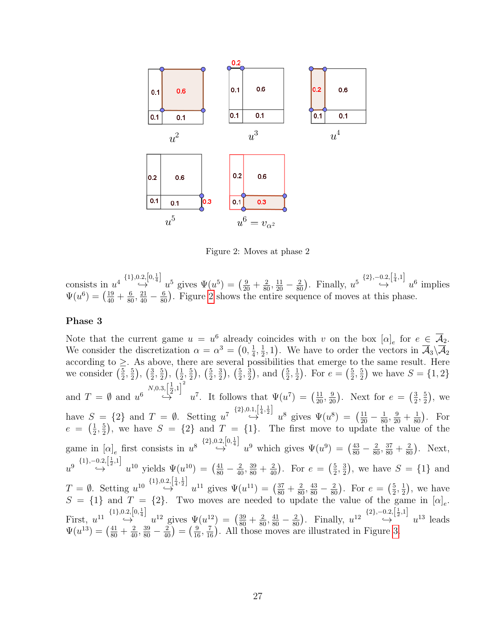

<span id="page-26-0"></span>Figure 2: Moves at phase 2

consists in  $u^4 \overset{\{1\},0.2,\left[0,\frac{1}{4}\right]}{\hookrightarrow}$ 0.2,  $\left[0, \frac{1}{4}\right]$   $u^5$  gives  $\Psi(u^5) = \left(\frac{9}{20} + \frac{2}{80}, \frac{11}{20} - \frac{2}{80}\right)$ . Finally,  $u^5 \stackrel{\{2\}, -0.2, \left[\frac{1}{4}, 1\right]}{\hookrightarrow}$  $\leftrightarrow$ <sup>'[47]</sup>  $u^6$  implies  $\Psi(u^6) = \left(\frac{19}{40} + \frac{6}{80}, \frac{21}{40} - \frac{6}{80}\right)$ . Figure [2](#page-26-0) shows the entire sequence of moves at this phase.

#### Phase 3

Note that the current game  $u = u^6$  already coincides with v on the box  $[\alpha]_e$  for  $e \in \overline{A}_2$ . We consider the discretization  $\alpha = \alpha^3 = \left(0, \frac{1}{4}\right)$  $\frac{1}{4}, \frac{1}{2}$  $(\frac{1}{2}, 1)$ . We have to order the vectors in  $\overline{\mathcal{A}}_3 \backslash \overline{\mathcal{A}}_2$ according to  $\geq$ . As above, there are several possibilities that emerge to the same result. Here we consider  $\left(\frac{5}{2}\right)$  $\frac{5}{2}, \frac{5}{2}$  $(\frac{5}{2}), (\frac{3}{2})$  $\frac{3}{2}, \frac{5}{2}$  $(\frac{5}{2}), (\frac{1}{2})$  $\frac{1}{2}, \frac{5}{2}$  $(\frac{5}{2}), (\frac{5}{2})$  $\frac{5}{2}, \frac{3}{2}$  $(\frac{3}{2}), (\frac{5}{2})$  $\frac{5}{2}, \frac{3}{2}$  $(\frac{3}{2}), \text{ and } (\frac{5}{2})$  $\frac{5}{2}, \frac{1}{2}$  $(\frac{1}{2})$ . For  $e = (\frac{5}{2})$  $\frac{5}{2}, \frac{5}{2}$  $(\frac{5}{2})$  we have  $S = \{1, 2\}$ and  $T = \emptyset$  and  $u^6 \stackrel{N,0.3, [\frac{1}{2}]}{\hookrightarrow}$  $\frac{1}{2}, 1\right]^2$  $\overset{[12^r]}{\rightarrow} u^7$ . It follows that  $\Psi(u^7) = \left(\frac{11}{20}, \frac{9}{20}\right)$ . Next for  $e = \left(\frac{3}{2}\right)$  $\frac{3}{2}, \frac{5}{2}$  $(\frac{5}{2})$ , we have  $S = \{2\}$  and  $T = \emptyset$ . Setting  $u^7 \stackrel{\{2\},0.1,\left[\frac{1}{4},\frac{1}{2}\right]}{\hookrightarrow}$  $\leftrightarrow$   $u^8$  gives  $\Psi(u^8) = \left(\frac{11}{20} - \frac{1}{80}, \frac{9}{20} + \frac{1}{80}\right)$ . For  $e = \left(\frac{1}{2}\right)$  $\frac{1}{2}$ ,  $\frac{5}{2}$  $\frac{5}{2}$ , we have  $S = \{2\}$  and  $T = \{1\}$ . The first move to update the value of the game in  $[\alpha]_e$  first consists in  $u^8 \stackrel{\{2\},0.2,[0,\frac{1}{4}]}{\hookrightarrow}$  $\leftrightarrow$   $u^9$  which gives  $\Psi(u^9) = \left(\frac{43}{80} - \frac{2}{80}, \frac{37}{80} + \frac{2}{80}\right)$ . Next,  $u^{9} \stackrel{\{1\},-0.2,\left[\frac{1}{2},1\right]}{\hookrightarrow}$  $\leftrightarrow$   $u^{10}$  yields  $\Psi(u^{10}) = \left(\frac{41}{80} - \frac{2}{40}, \frac{39}{80} + \frac{2}{40}\right)$ . For  $e = \left(\frac{5}{2}\right)$  $\frac{5}{2}, \frac{3}{2}$  $(\frac{3}{2})$ , we have  $S = \{1\}$  and  $T = \emptyset$ . Setting  $u^{10} \stackrel{\{1\},0.2,\left[\frac{1}{4},\frac{1}{2}\right]}{\hookrightarrow}$  $\leftrightarrow$   $u^{11}$  gives  $\Psi(u^{11}) = \left(\frac{37}{80} + \frac{2}{80}, \frac{43}{80} - \frac{2}{80}\right)$ . For  $e = \left(\frac{5}{2}\right)$  $\frac{5}{2}, \frac{1}{2}$  $(\frac{1}{2})$ , we have  $S = \{1\}$  and  $T = \{2\}$ . Two moves are needed to update the value of the game in  $[\alpha]_e$ . First,  $u^{11} \overset{\{1\},0.2,\left[0,\frac{1}{4}\right]}{\hookrightarrow}$  $\rightarrow$   $\left[\frac{1}{2}, \frac{1}{2}\right]$   $u^{12}$  gives  $\Psi(u^{12}) = \left(\frac{39}{80} + \frac{2}{80}, \frac{41}{80} - \frac{2}{80}\right)$ . Finally,  $u^{12} \stackrel{\{2\}, -0.2, \left[\frac{1}{2}, 1\right]}{\rightarrow}$  $\leftrightarrow$ <sup>12'</sup>  $u^{13}$  leads  $\Psi(u^{13}) = \left(\frac{41}{80} + \frac{2}{40}, \frac{39}{80} - \frac{2}{40}\right) = \left(\frac{9}{16}, \frac{7}{16}\right)$ . All those moves are illustrated in Figure [3.](#page-27-0)